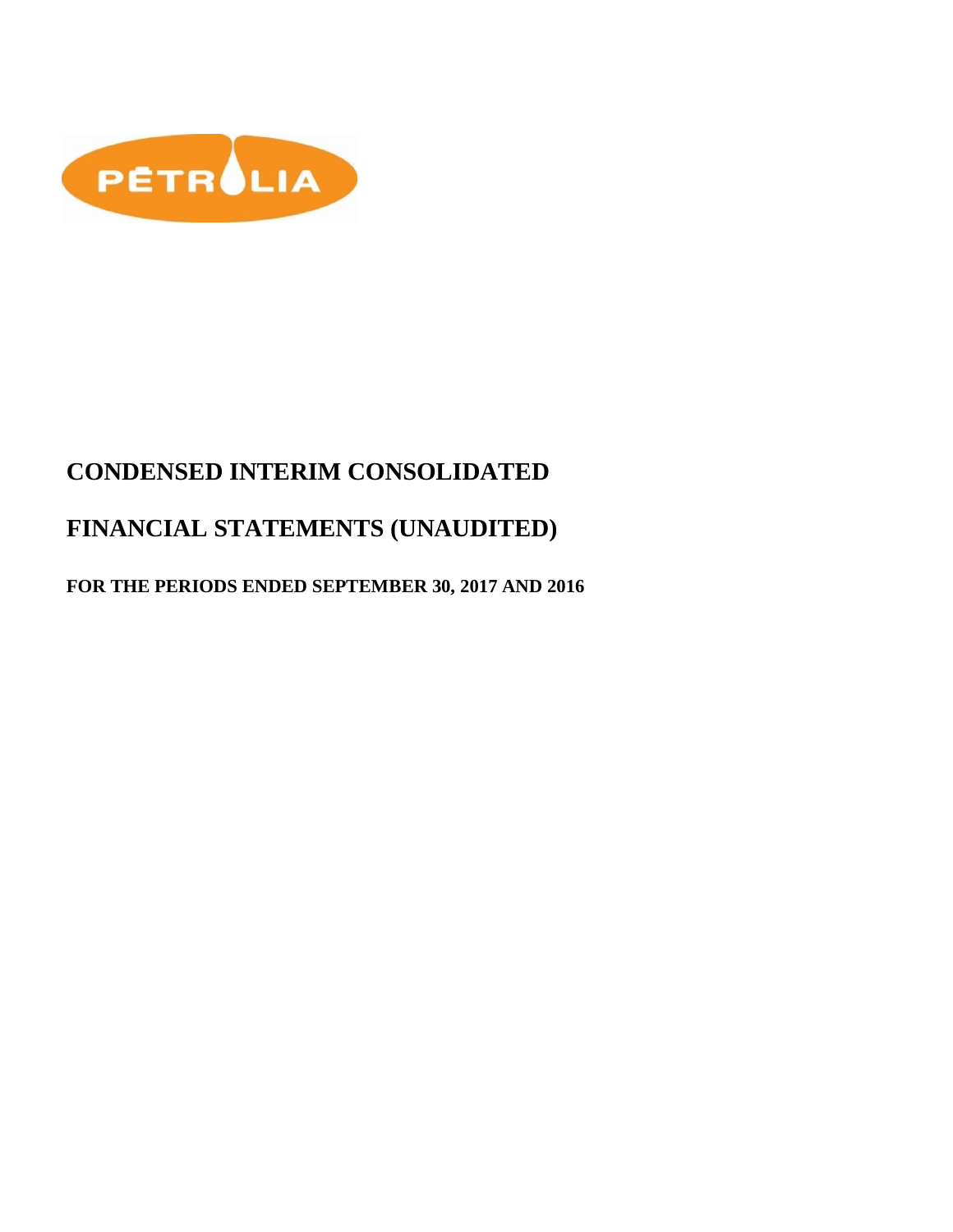

# **CONDENSED INTERIM CONSOLIDATED**

# **FINANCIAL STATEMENTS (UNAUDITED)**

# **FOR THE PERIODS ENDED SEPTEMBER 30, 2017 AND 2016**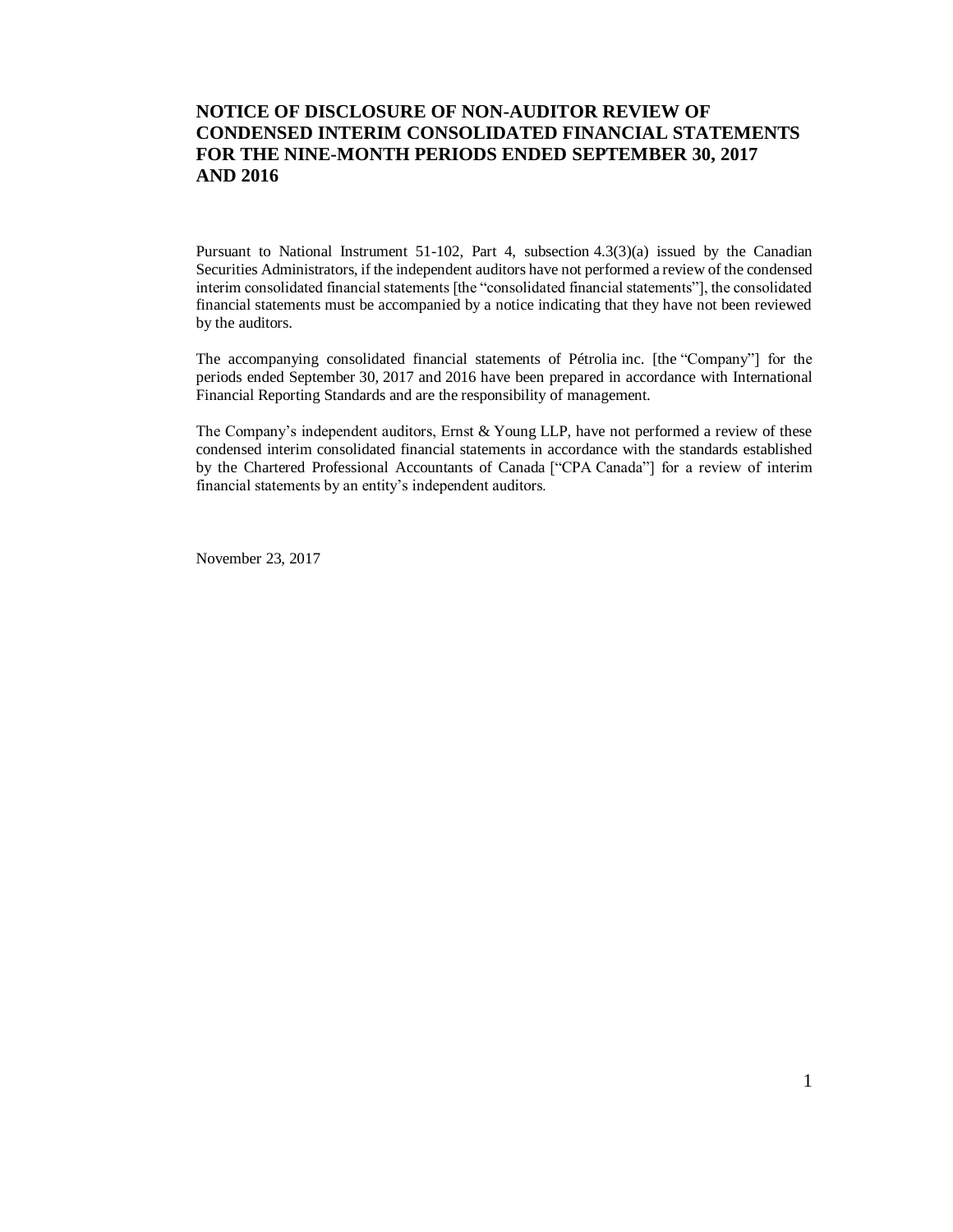### **NOTICE OF DISCLOSURE OF NON-AUDITOR REVIEW OF CONDENSED INTERIM CONSOLIDATED FINANCIAL STATEMENTS FOR THE NINE-MONTH PERIODS ENDED SEPTEMBER 30, 2017 AND 2016**

Pursuant to National Instrument 51-102, Part 4, subsection 4.3(3)(a) issued by the Canadian Securities Administrators, if the independent auditors have not performed a review of the condensed interim consolidated financial statements [the "consolidated financial statements"], the consolidated financial statements must be accompanied by a notice indicating that they have not been reviewed by the auditors.

The accompanying consolidated financial statements of Pétrolia inc. [the "Company"] for the periods ended September 30, 2017 and 2016 have been prepared in accordance with International Financial Reporting Standards and are the responsibility of management.

The Company's independent auditors, Ernst & Young LLP, have not performed a review of these condensed interim consolidated financial statements in accordance with the standards established by the Chartered Professional Accountants of Canada ["CPA Canada"] for a review of interim financial statements by an entity's independent auditors.

November 23, 2017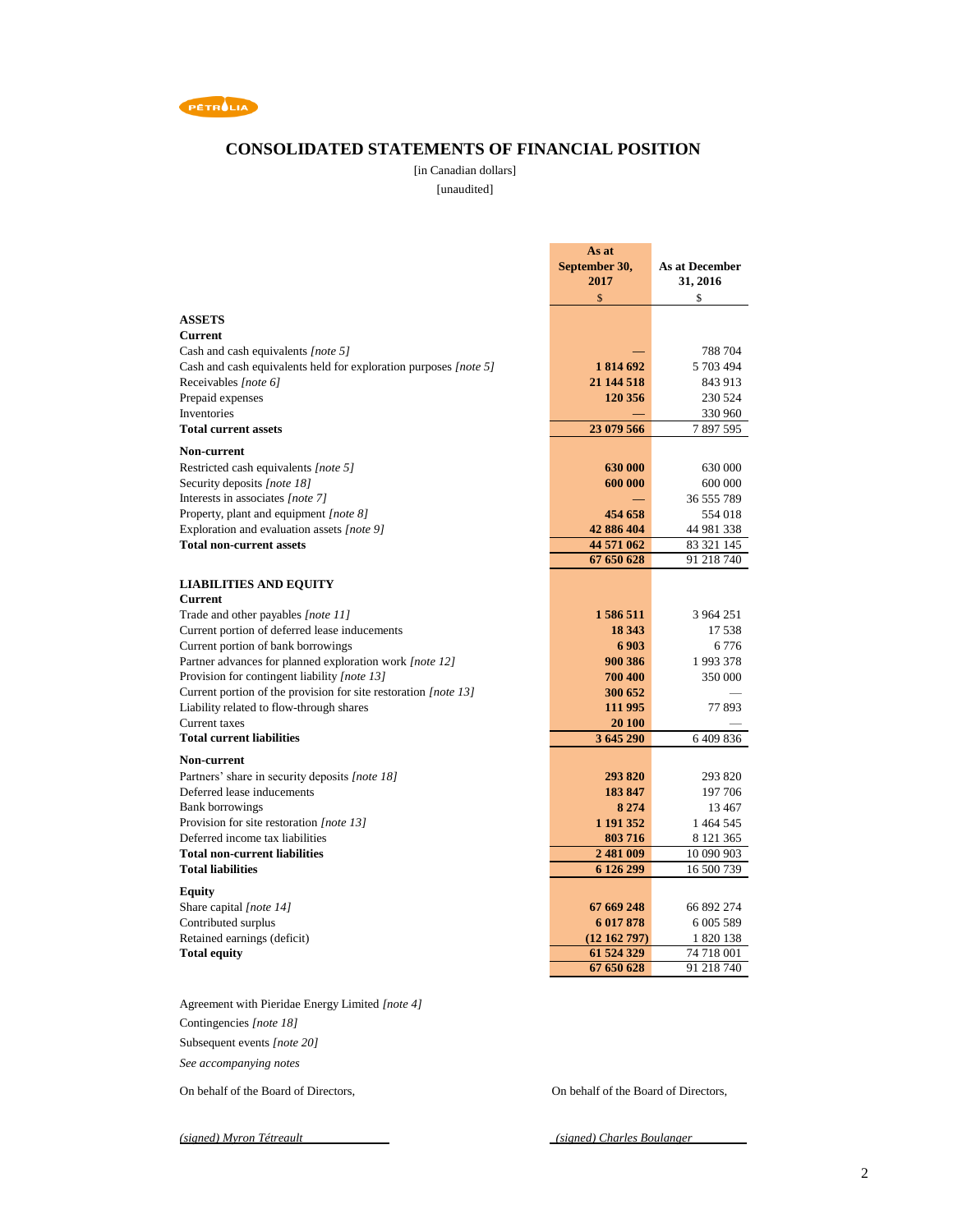

### **CONSOLIDATED STATEMENTS OF FINANCIAL POSITION**

[in Canadian dollars]

[unaudited]

|                                                                  | As at                    |                          |
|------------------------------------------------------------------|--------------------------|--------------------------|
|                                                                  | September 30,            | As at December           |
|                                                                  | 2017                     | 31, 2016                 |
|                                                                  | \$                       | \$                       |
| <b>ASSETS</b>                                                    |                          |                          |
| <b>Current</b>                                                   |                          |                          |
| Cash and cash equivalents [note 5]                               |                          | 788 704                  |
| Cash and cash equivalents held for exploration purposes [note 5] | 1814692                  | 5 703 494                |
| Receivables [note 6]                                             | 21 144 518               | 843 913                  |
| Prepaid expenses                                                 | 120 356                  | 230 524                  |
| Inventories                                                      |                          | 330 960                  |
| <b>Total current assets</b>                                      | 23 079 566               | 7897595                  |
|                                                                  |                          |                          |
| <b>Non-current</b>                                               |                          |                          |
| Restricted cash equivalents [note 5]                             | 630 000                  | 630 000                  |
| Security deposits [note 18]                                      | 600 000                  | 600 000                  |
| Interests in associates [note 7]                                 |                          | 36 555 789               |
| Property, plant and equipment [note 8]                           | 454 658                  | 554 018                  |
| Exploration and evaluation assets [note 9]                       | 42 886 404               | 44 981 338               |
| <b>Total non-current assets</b>                                  | 44 571 062               | 83 321 145               |
|                                                                  | 67 650 628               | 91 218 740               |
| <b>LIABILITIES AND EQUITY</b>                                    |                          |                          |
| <b>Current</b>                                                   |                          |                          |
| Trade and other payables [note 11]                               | 1586511                  | 3 964 251                |
| Current portion of deferred lease inducements                    | 18 343                   | 17538                    |
| Current portion of bank borrowings                               | 6903                     | 6776                     |
| Partner advances for planned exploration work [note 12]          | 900 386                  | 1993378                  |
| Provision for contingent liability [note 13]                     | 700 400                  | 350 000                  |
| Current portion of the provision for site restoration [note 13]  | 300 652                  |                          |
| Liability related to flow-through shares                         | 111 995                  | 77 893                   |
| Current taxes                                                    | 20 100                   |                          |
| <b>Total current liabilities</b>                                 | 3 645 290                | 6409836                  |
| <b>Non-current</b>                                               |                          |                          |
| Partners' share in security deposits [note 18]                   | 293 820                  | 293 820                  |
| Deferred lease inducements                                       | 183 847                  | 197 706                  |
| <b>Bank borrowings</b>                                           | 8 2 7 4                  | 13467                    |
| Provision for site restoration [note 13]                         | 1 191 352                | 1 464 545                |
| Deferred income tax liabilities                                  | 803716                   | 8 121 365                |
| <b>Total non-current liabilities</b>                             | 2 481 009                | 10 090 903               |
| <b>Total liabilities</b>                                         | 6 126 299                | 16 500 739               |
|                                                                  |                          |                          |
| Equity                                                           |                          |                          |
| Share capital [note 14]                                          | 67 669 248               | 66 892 274               |
| Contributed surplus                                              | 6 017 878                | 6 005 589                |
| Retained earnings (deficit)                                      | (12162797)               | 1 820 138                |
| <b>Total equity</b>                                              | 61 524 329<br>67 650 628 | 74 718 001<br>91 218 740 |
|                                                                  |                          |                          |
| Agreement with Pieridae Energy Limited [note 4]                  |                          |                          |

Contingencies *[note 18]* Subsequent events *[note 20]*

*See accompanying notes*

On behalf of the Board of Directors, On behalf of the Board of Directors,

*(signed) Myron Tétreault (signed) Charles Boulanger*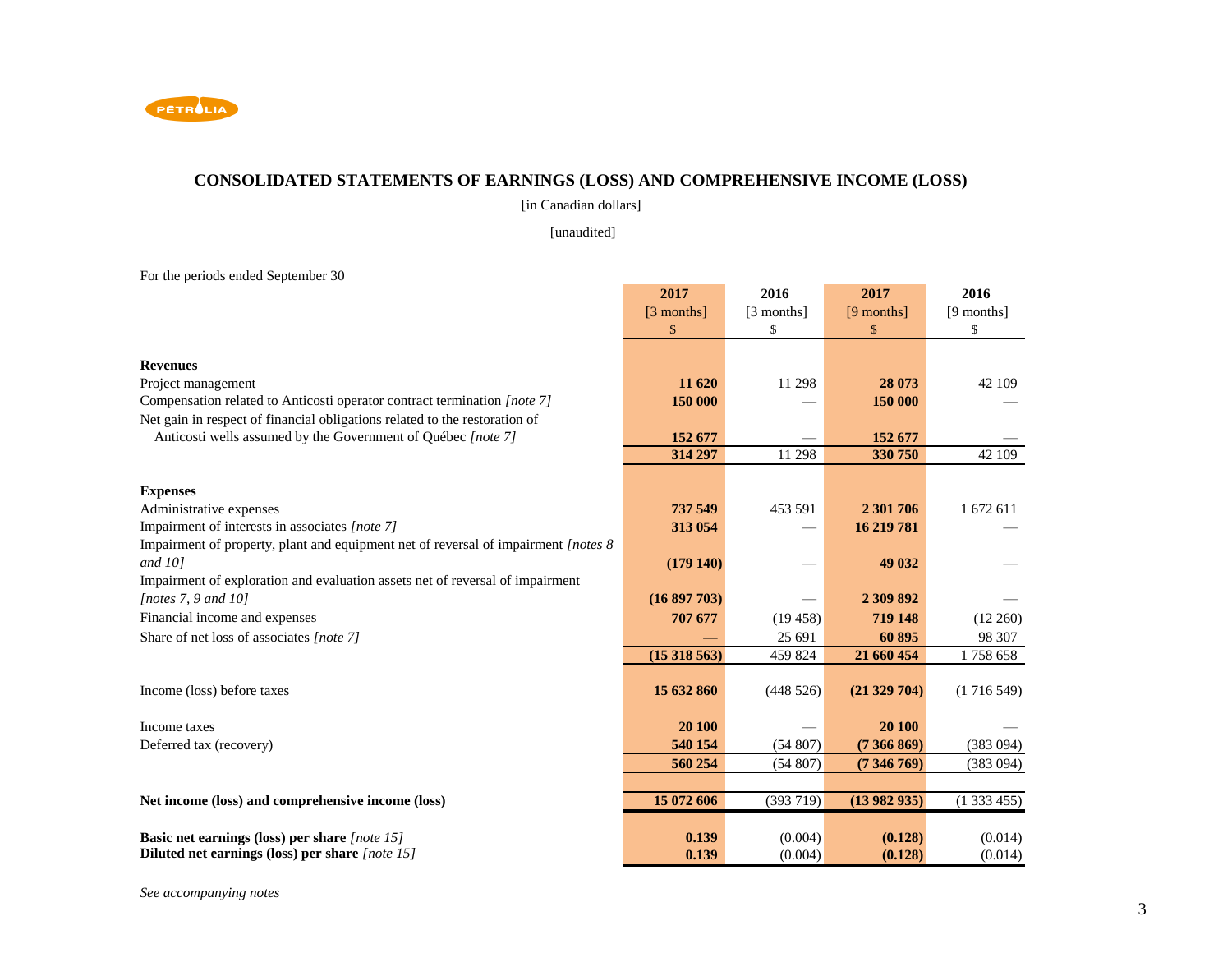

### **CONSOLIDATED STATEMENTS OF EARNINGS (LOSS) AND COMPREHENSIVE INCOME (LOSS)**

[in Canadian dollars]

[unaudited]

For the periods ended September 30

|                                                                                     | 2017       | 2016       | 2017       | 2016       |
|-------------------------------------------------------------------------------------|------------|------------|------------|------------|
|                                                                                     | [3 months] | [3 months] | [9 months] | [9 months] |
|                                                                                     | \$         | \$         | \$         | \$         |
|                                                                                     |            |            |            |            |
| <b>Revenues</b>                                                                     |            |            |            |            |
| Project management                                                                  | 11 620     | 11 298     | 28 073     | 42 109     |
| Compensation related to Anticosti operator contract termination [note 7]            | 150 000    |            | 150 000    |            |
| Net gain in respect of financial obligations related to the restoration of          |            |            |            |            |
| Anticosti wells assumed by the Government of Québec [note 7]                        | 152 677    |            | 152 677    |            |
|                                                                                     | 314 297    | 11 298     | 330 750    | 42 109     |
|                                                                                     |            |            |            |            |
| <b>Expenses</b>                                                                     |            |            |            |            |
| Administrative expenses                                                             | 737 549    | 453 591    | 2 301 706  | 1 672 611  |
| Impairment of interests in associates [note 7]                                      | 313 054    |            | 16 219 781 |            |
| Impairment of property, plant and equipment net of reversal of impairment [notes 8] |            |            |            |            |
| and $10$ ]                                                                          | (179140)   |            | 49 032     |            |
| Impairment of exploration and evaluation assets net of reversal of impairment       |            |            |            |            |
| [notes $7, 9$ and $10$ ]                                                            | (16897703) |            | 2 309 892  |            |
| Financial income and expenses                                                       | 707 677    | (19458)    | 719 148    | (12 260)   |
| Share of net loss of associates [note 7]                                            |            | 25 691     | 60 895     | 98 307     |
|                                                                                     | (15318563) | 459 824    | 21 660 454 | 1758 658   |
|                                                                                     |            |            |            |            |
| Income (loss) before taxes                                                          | 15 632 860 | (448526)   | (21329704) | (1716549)  |
|                                                                                     |            |            |            |            |
| Income taxes                                                                        | 20 100     |            | 20 100     |            |
| Deferred tax (recovery)                                                             | 540 154    | (54807)    | (7366869)  | (383 094)  |
|                                                                                     | 560 254    | (54807)    | (7346769)  | (383 094)  |
|                                                                                     |            |            |            |            |
| Net income (loss) and comprehensive income (loss)                                   | 15 072 606 | (393719)   | (13982935) | (1333455)  |
|                                                                                     |            |            |            |            |
| Basic net earnings (loss) per share [note 15]                                       | 0.139      | (0.004)    | (0.128)    | (0.014)    |
| Diluted net earnings (loss) per share [note 15]                                     | 0.139      | (0.004)    | (0.128)    | (0.014)    |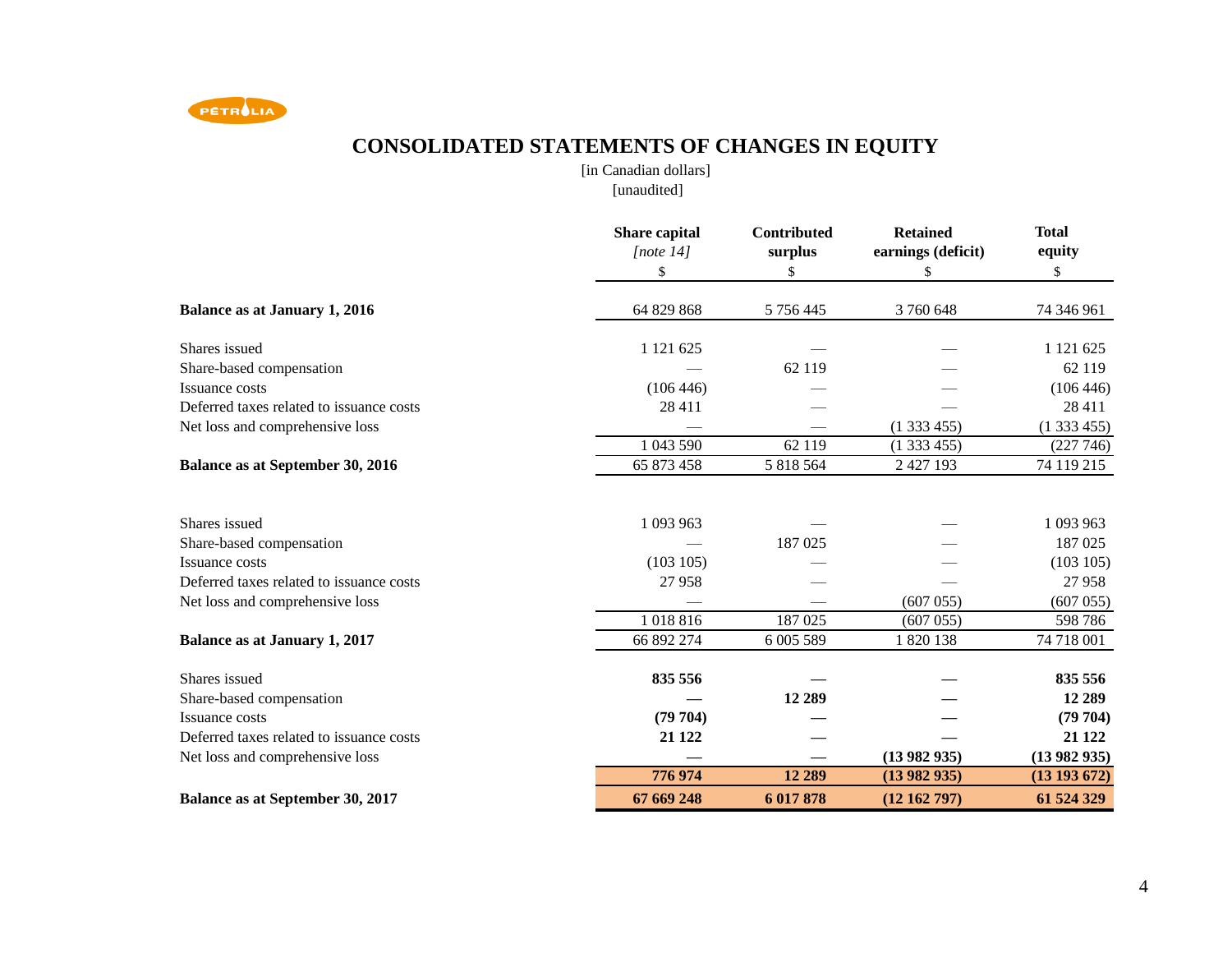

# **CONSOLIDATED STATEMENTS OF CHANGES IN EQUITY**

[in Canadian dollars] [unaudited]

|                                          | Share capital<br>[note $14$ ] | <b>Contributed</b><br>surplus | <b>Retained</b><br>earnings (deficit) | <b>Total</b><br>equity |
|------------------------------------------|-------------------------------|-------------------------------|---------------------------------------|------------------------|
|                                          | \$                            | \$                            | \$                                    | \$                     |
| <b>Balance as at January 1, 2016</b>     | 64 829 868                    | 5 756 445                     | 3760648                               | 74 346 961             |
| Shares issued                            | 1 121 625                     |                               |                                       | 1 121 625              |
| Share-based compensation                 |                               | 62 119                        |                                       | 62 119                 |
| Issuance costs                           | (106446)                      |                               |                                       | (106446)               |
| Deferred taxes related to issuance costs | 28 411                        |                               |                                       | 28 411                 |
| Net loss and comprehensive loss          |                               |                               | (1333455)                             | (1333455)              |
|                                          | 1 043 590                     | 62 119                        | (1333455)                             | (227 746)              |
| <b>Balance as at September 30, 2016</b>  | 65 873 458                    | 5 818 564                     | 2 427 193                             | 74 119 215             |
| Shares issued                            | 1 093 963                     |                               |                                       | 1 093 963              |
| Share-based compensation                 |                               | 187 025                       |                                       | 187 025                |
| Issuance costs                           | (103105)                      |                               |                                       | (103 105)              |
| Deferred taxes related to issuance costs | 27958                         |                               |                                       | 27958                  |
| Net loss and comprehensive loss          |                               |                               | (607055)                              | (607055)               |
|                                          | 1018816                       | 187 025                       | (607055)                              | 598 786                |
| <b>Balance as at January 1, 2017</b>     | 66 892 274                    | 6 005 589                     | 1 820 138                             | 74 718 001             |
| Shares issued                            | 835 556                       |                               |                                       | 835 556                |
| Share-based compensation                 |                               | 12 289                        |                                       | 12 289                 |
| Issuance costs                           | (79704)                       |                               |                                       | (79704)                |
| Deferred taxes related to issuance costs | 21 1 22                       |                               |                                       | 21 1 22                |
| Net loss and comprehensive loss          |                               |                               | (13982935)                            | (13982935)             |
|                                          | 776 974                       | 12 289                        | (13982935)                            | $(13\ 193\ 672)$       |
| <b>Balance as at September 30, 2017</b>  | 67 669 248                    | 6 017 878                     | (12 162 797)                          | 61 524 329             |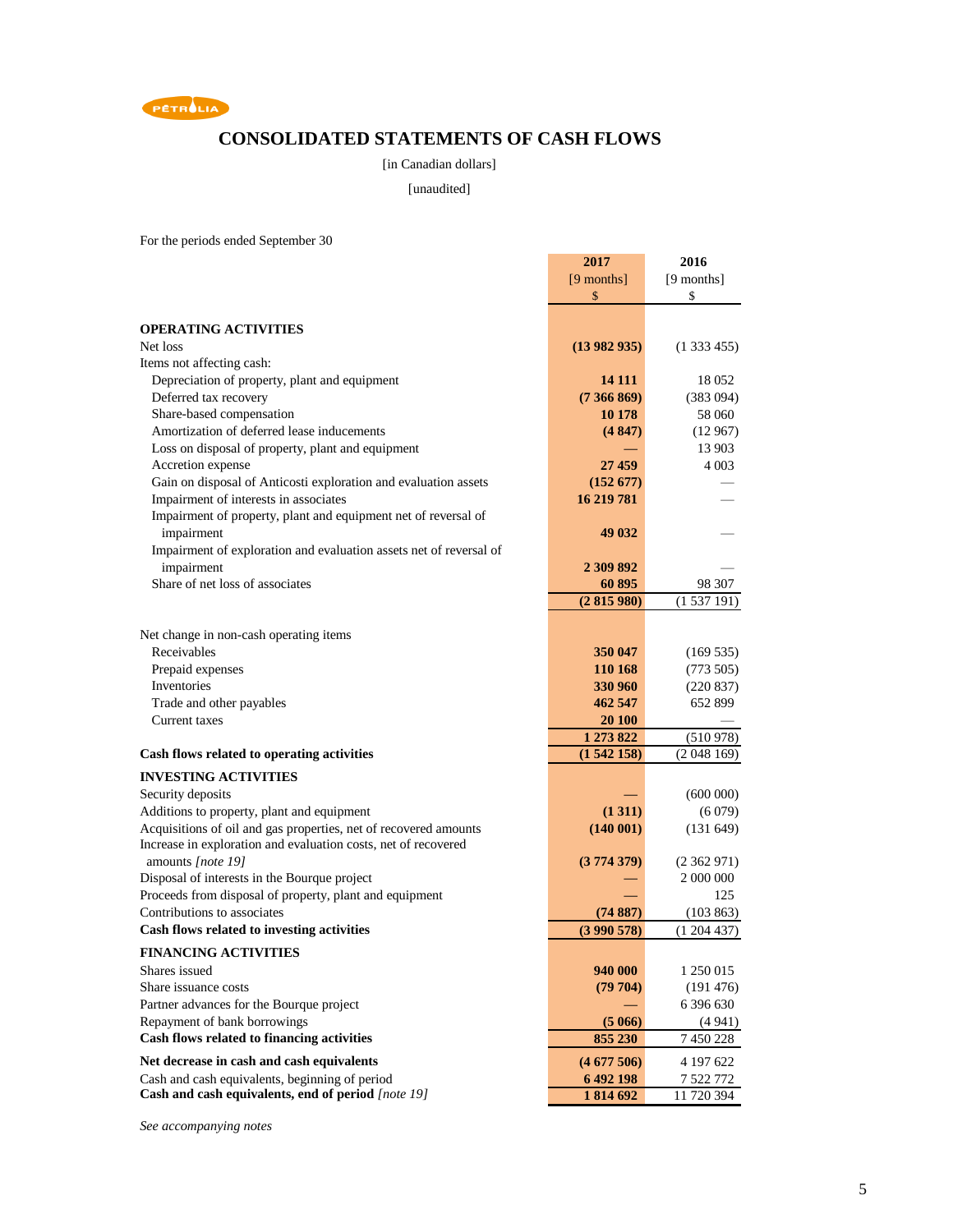

### **CONSOLIDATED STATEMENTS OF CASH FLOWS**

#### [in Canadian dollars]

[unaudited]

For the periods ended September 30

|                                                                    | 2017         | 2016       |
|--------------------------------------------------------------------|--------------|------------|
|                                                                    | $[9$ months] | [9 months] |
|                                                                    | \$           | \$         |
|                                                                    |              |            |
| <b>OPERATING ACTIVITIES</b>                                        |              |            |
| Net loss                                                           | (13982935)   | (1333455)  |
| Items not affecting cash:                                          |              |            |
| Depreciation of property, plant and equipment                      | 14 11 1      | 18 052     |
| Deferred tax recovery                                              | (7366869)    | (383094)   |
| Share-based compensation                                           | 10 178       | 58 060     |
| Amortization of deferred lease inducements                         | (4847)       | (12967)    |
| Loss on disposal of property, plant and equipment                  |              | 13 903     |
| Accretion expense                                                  | 27 459       | 4 0 0 3    |
| Gain on disposal of Anticosti exploration and evaluation assets    | (152 677)    |            |
| Impairment of interests in associates                              | 16 219 781   |            |
| Impairment of property, plant and equipment net of reversal of     |              |            |
| impairment                                                         | 49 032       |            |
| Impairment of exploration and evaluation assets net of reversal of |              |            |
| impairment                                                         | 2 309 892    |            |
| Share of net loss of associates                                    | 60 895       | 98 307     |
|                                                                    | (2815980)    | (1537191)  |
|                                                                    |              |            |
| Net change in non-cash operating items                             |              |            |
| Receivables                                                        | 350 047      | (169535)   |
| Prepaid expenses                                                   | 110 168      | (773505)   |
| Inventories                                                        | 330 960      | (220 837)  |
| Trade and other payables                                           | 462 547      | 652 899    |
| Current taxes                                                      | 20 100       |            |
|                                                                    | 1 273 822    | (510978)   |
| Cash flows related to operating activities                         | (1542158)    | (2048169)  |
| <b>INVESTING ACTIVITIES</b>                                        |              |            |
| Security deposits                                                  |              | (600000)   |
| Additions to property, plant and equipment                         | (1 311)      | (6079)     |
| Acquisitions of oil and gas properties, net of recovered amounts   | (140001)     | (131649)   |
| Increase in exploration and evaluation costs, net of recovered     |              |            |
| amounts [note 19]                                                  | (3774379)    | (2362971)  |
| Disposal of interests in the Bourque project                       |              | 2 000 000  |
| Proceeds from disposal of property, plant and equipment            |              | 125        |
| Contributions to associates                                        | (74887)      | (103 863)  |
| Cash flows related to investing activities                         | (3990578)    | (1204437)  |
| <b>FINANCING ACTIVITIES</b>                                        |              |            |
| Shares issued                                                      | 940 000      | 1 250 015  |
| Share issuance costs                                               | (79 704)     | (191 476)  |
| Partner advances for the Bourque project                           |              | 6 396 630  |
| Repayment of bank borrowings                                       | (5066)       | (4941)     |
| Cash flows related to financing activities                         | 855 230      | 7 450 228  |
| Net decrease in cash and cash equivalents                          | (4677506)    | 4 197 622  |
| Cash and cash equivalents, beginning of period                     | 6 492 198    | 7 522 772  |
| Cash and cash equivalents, end of period [note 19]                 | 1814692      | 11 720 394 |

*See accompanying notes*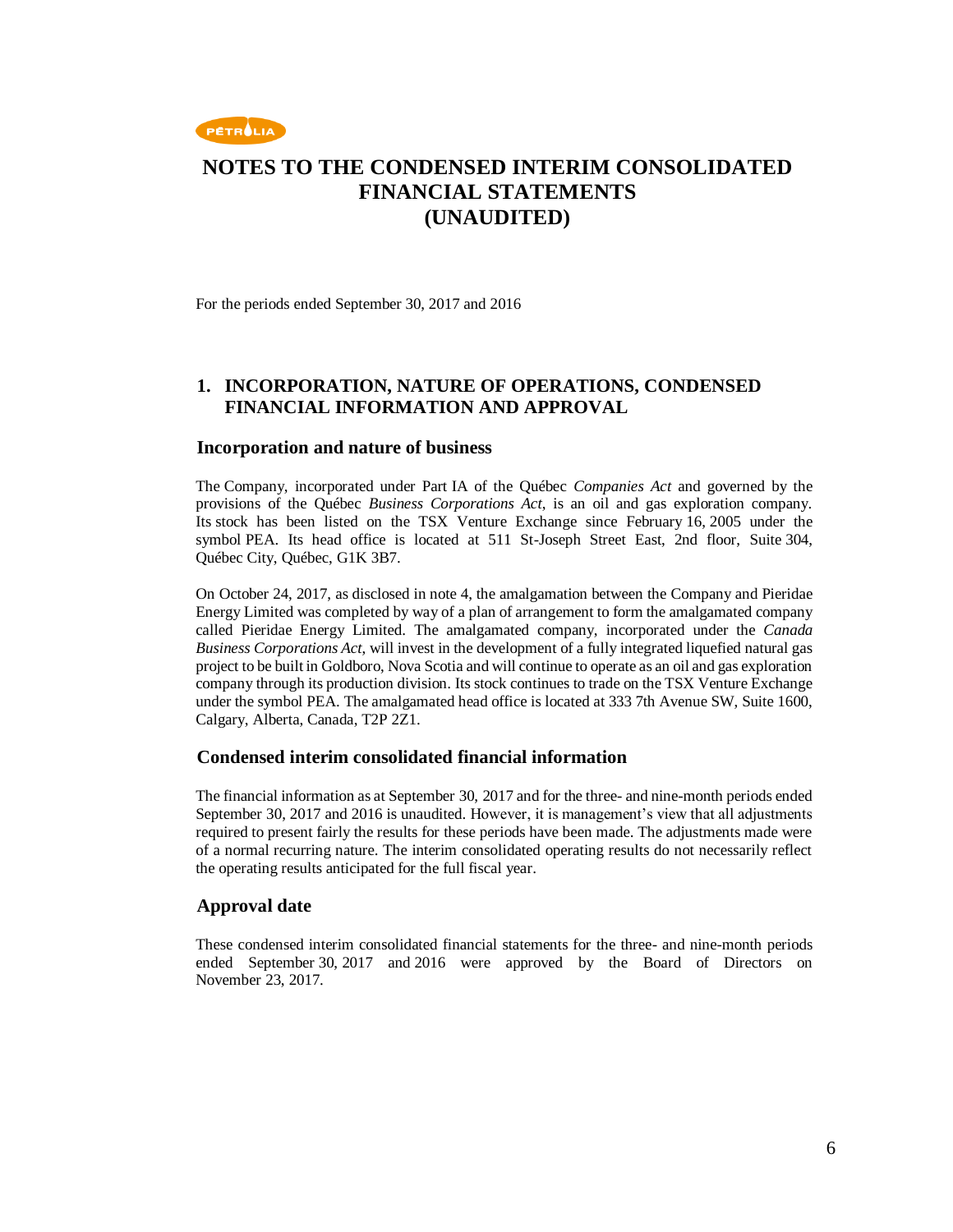

For the periods ended September 30, 2017 and 2016

### **1. INCORPORATION, NATURE OF OPERATIONS, CONDENSED FINANCIAL INFORMATION AND APPROVAL**

#### **Incorporation and nature of business**

The Company, incorporated under Part IA of the Québec *Companies Act* and governed by the provisions of the Québec *Business Corporations Act*, is an oil and gas exploration company. Its stock has been listed on the TSX Venture Exchange since February 16, 2005 under the symbol PEA. Its head office is located at 511 St-Joseph Street East, 2nd floor, Suite 304, Québec City, Québec, G1K 3B7.

On October 24, 2017, as disclosed in note 4, the amalgamation between the Company and Pieridae Energy Limited was completed by way of a plan of arrangement to form the amalgamated company called Pieridae Energy Limited. The amalgamated company, incorporated under the *Canada Business Corporations Act*, will invest in the development of a fully integrated liquefied natural gas project to be built in Goldboro, Nova Scotia and will continue to operate as an oil and gas exploration company through its production division. Its stock continues to trade on the TSX Venture Exchange under the symbol PEA. The amalgamated head office is located at 333 7th Avenue SW, Suite 1600, Calgary, Alberta, Canada, T2P 2Z1.

### **Condensed interim consolidated financial information**

The financial information as at September 30, 2017 and for the three- and nine-month periods ended September 30, 2017 and 2016 is unaudited. However, it is management's view that all adjustments required to present fairly the results for these periods have been made. The adjustments made were of a normal recurring nature. The interim consolidated operating results do not necessarily reflect the operating results anticipated for the full fiscal year.

### **Approval date**

These condensed interim consolidated financial statements for the three- and nine-month periods ended September 30, 2017 and 2016 were approved by the Board of Directors on November 23, 2017.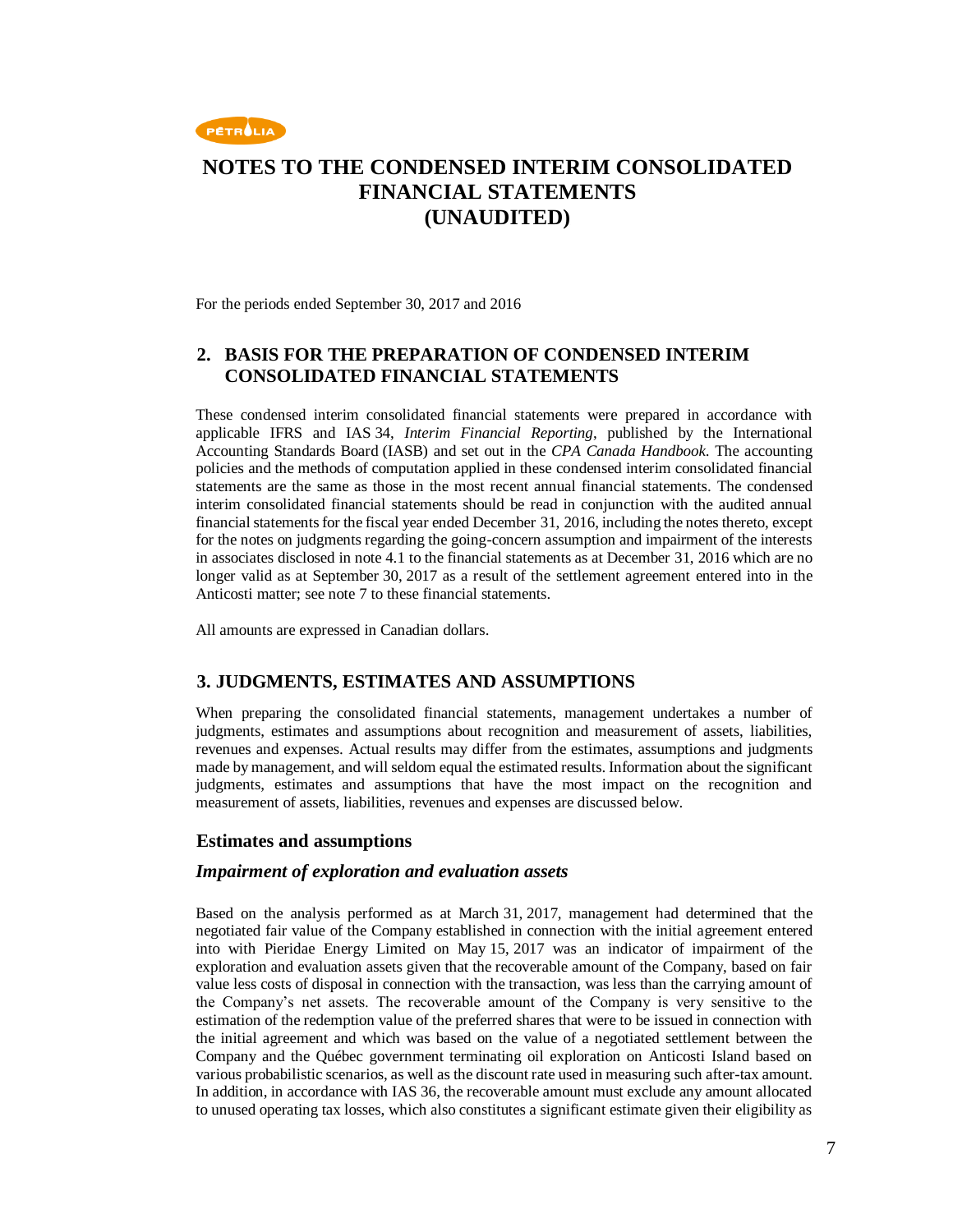

For the periods ended September 30, 2017 and 2016

### **2. BASIS FOR THE PREPARATION OF CONDENSED INTERIM CONSOLIDATED FINANCIAL STATEMENTS**

These condensed interim consolidated financial statements were prepared in accordance with applicable IFRS and IAS 34, *Interim Financial Reporting*, published by the International Accounting Standards Board (IASB) and set out in the *CPA Canada Handbook*. The accounting policies and the methods of computation applied in these condensed interim consolidated financial statements are the same as those in the most recent annual financial statements. The condensed interim consolidated financial statements should be read in conjunction with the audited annual financial statements for the fiscal year ended December 31, 2016, including the notes thereto, except for the notes on judgments regarding the going-concern assumption and impairment of the interests in associates disclosed in note 4.1 to the financial statements as at December 31, 2016 which are no longer valid as at September 30, 2017 as a result of the settlement agreement entered into in the Anticosti matter; see note 7 to these financial statements.

All amounts are expressed in Canadian dollars.

### **3. JUDGMENTS, ESTIMATES AND ASSUMPTIONS**

When preparing the consolidated financial statements, management undertakes a number of judgments, estimates and assumptions about recognition and measurement of assets, liabilities, revenues and expenses. Actual results may differ from the estimates, assumptions and judgments made by management, and will seldom equal the estimated results. Information about the significant judgments, estimates and assumptions that have the most impact on the recognition and measurement of assets, liabilities, revenues and expenses are discussed below.

#### **Estimates and assumptions**

#### *Impairment of exploration and evaluation assets*

Based on the analysis performed as at March 31, 2017, management had determined that the negotiated fair value of the Company established in connection with the initial agreement entered into with Pieridae Energy Limited on May 15, 2017 was an indicator of impairment of the exploration and evaluation assets given that the recoverable amount of the Company, based on fair value less costs of disposal in connection with the transaction, was less than the carrying amount of the Company's net assets. The recoverable amount of the Company is very sensitive to the estimation of the redemption value of the preferred shares that were to be issued in connection with the initial agreement and which was based on the value of a negotiated settlement between the Company and the Québec government terminating oil exploration on Anticosti Island based on various probabilistic scenarios, as well as the discount rate used in measuring such after-tax amount. In addition, in accordance with IAS 36, the recoverable amount must exclude any amount allocated to unused operating tax losses, which also constitutes a significant estimate given their eligibility as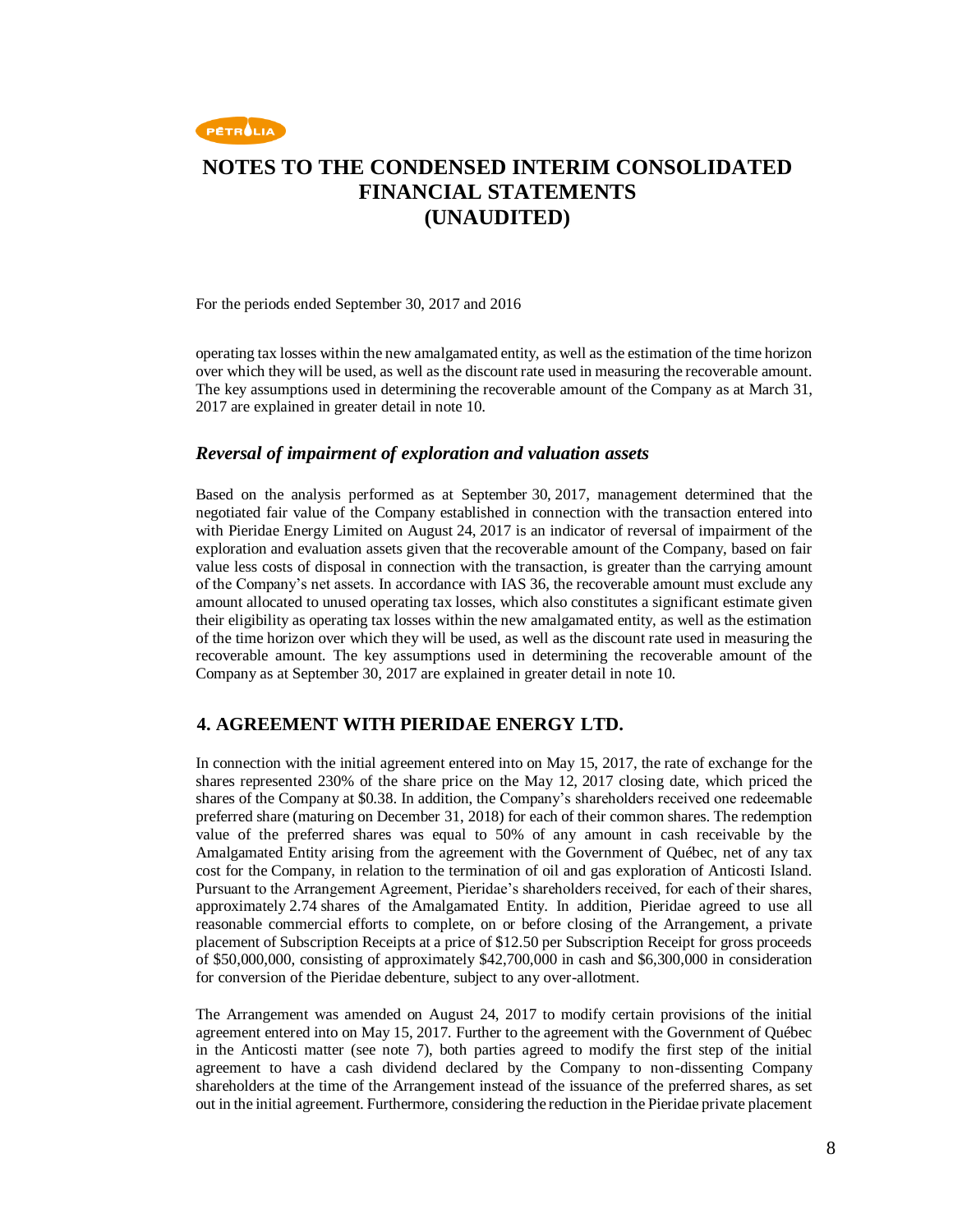

For the periods ended September 30, 2017 and 2016

operating tax losses within the new amalgamated entity, as well as the estimation of the time horizon over which they will be used, as well as the discount rate used in measuring the recoverable amount. The key assumptions used in determining the recoverable amount of the Company as at March 31, 2017 are explained in greater detail in note 10.

#### *Reversal of impairment of exploration and valuation assets*

Based on the analysis performed as at September 30, 2017, management determined that the negotiated fair value of the Company established in connection with the transaction entered into with Pieridae Energy Limited on August 24, 2017 is an indicator of reversal of impairment of the exploration and evaluation assets given that the recoverable amount of the Company, based on fair value less costs of disposal in connection with the transaction, is greater than the carrying amount of the Company's net assets. In accordance with IAS 36, the recoverable amount must exclude any amount allocated to unused operating tax losses, which also constitutes a significant estimate given their eligibility as operating tax losses within the new amalgamated entity, as well as the estimation of the time horizon over which they will be used, as well as the discount rate used in measuring the recoverable amount. The key assumptions used in determining the recoverable amount of the Company as at September 30, 2017 are explained in greater detail in note 10.

### **4. AGREEMENT WITH PIERIDAE ENERGY LTD.**

In connection with the initial agreement entered into on May 15, 2017, the rate of exchange for the shares represented 230% of the share price on the May 12, 2017 closing date, which priced the shares of the Company at \$0.38. In addition, the Company's shareholders received one redeemable preferred share (maturing on December 31, 2018) for each of their common shares. The redemption value of the preferred shares was equal to 50% of any amount in cash receivable by the Amalgamated Entity arising from the agreement with the Government of Québec, net of any tax cost for the Company, in relation to the termination of oil and gas exploration of Anticosti Island. Pursuant to the Arrangement Agreement, Pieridae's shareholders received, for each of their shares, approximately 2.74 shares of the Amalgamated Entity. In addition, Pieridae agreed to use all reasonable commercial efforts to complete, on or before closing of the Arrangement, a private placement of Subscription Receipts at a price of \$12.50 per Subscription Receipt for gross proceeds of \$50,000,000, consisting of approximately \$42,700,000 in cash and \$6,300,000 in consideration for conversion of the Pieridae debenture, subject to any over-allotment.

The Arrangement was amended on August 24, 2017 to modify certain provisions of the initial agreement entered into on May 15, 2017. Further to the agreement with the Government of Québec in the Anticosti matter (see note 7), both parties agreed to modify the first step of the initial agreement to have a cash dividend declared by the Company to non-dissenting Company shareholders at the time of the Arrangement instead of the issuance of the preferred shares, as set out in the initial agreement. Furthermore, considering the reduction in the Pieridae private placement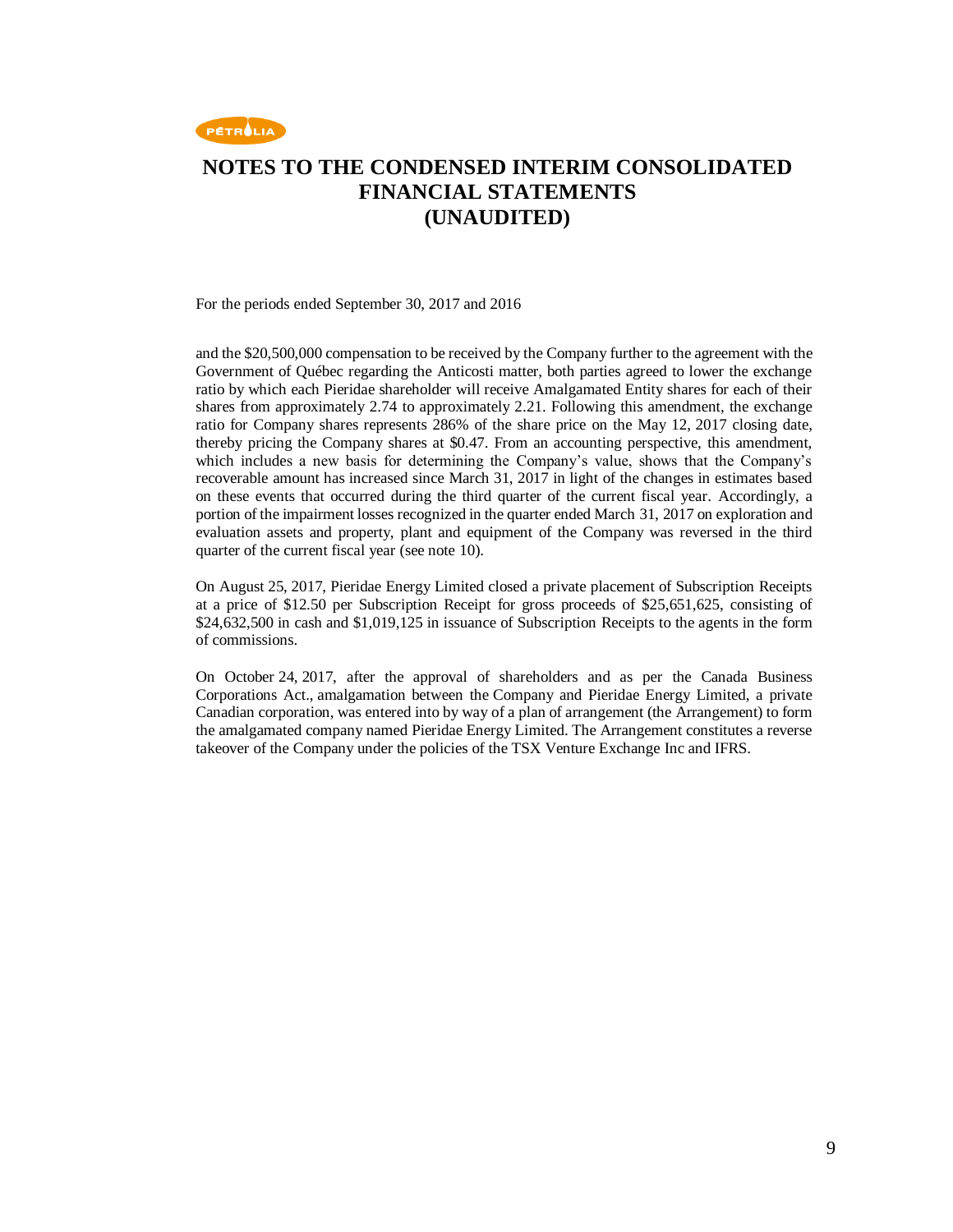

For the periods ended September 30, 2017 and 2016

and the \$20,500,000 compensation to be received by the Company further to the agreement with the Government of Québec regarding the Anticosti matter, both parties agreed to lower the exchange ratio by which each Pieridae shareholder will receive Amalgamated Entity shares for each of their shares from approximately 2.74 to approximately 2.21. Following this amendment, the exchange ratio for Company shares represents 286% of the share price on the May 12, 2017 closing date, thereby pricing the Company shares at \$0.47. From an accounting perspective, this amendment, which includes a new basis for determining the Company's value, shows that the Company's recoverable amount has increased since March 31, 2017 in light of the changes in estimates based on these events that occurred during the third quarter of the current fiscal year. Accordingly, a portion of the impairment losses recognized in the quarter ended March 31, 2017 on exploration and evaluation assets and property, plant and equipment of the Company was reversed in the third quarter of the current fiscal year (see note 10).

On August 25, 2017, Pieridae Energy Limited closed a private placement of Subscription Receipts at a price of \$12.50 per Subscription Receipt for gross proceeds of \$25,651,625, consisting of \$24,632,500 in cash and \$1,019,125 in issuance of Subscription Receipts to the agents in the form of commissions.

On October 24, 2017, after the approval of shareholders and as per the Canada Business Corporations Act., amalgamation between the Company and Pieridae Energy Limited, a private Canadian corporation, was entered into by way of a plan of arrangement (the Arrangement) to form the amalgamated company named Pieridae Energy Limited. The Arrangement constitutes a reverse takeover of the Company under the policies of the TSX Venture Exchange Inc and IFRS.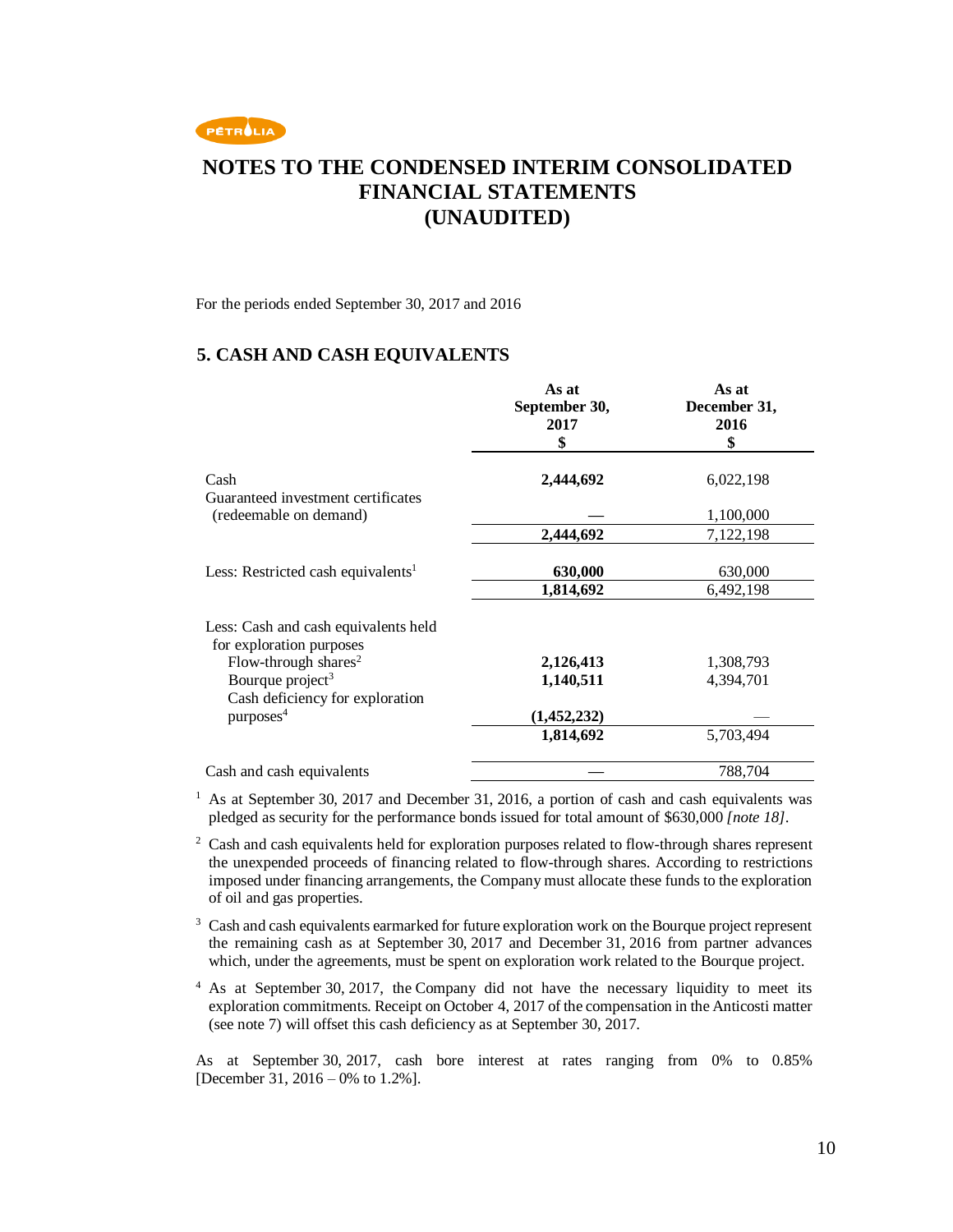

For the periods ended September 30, 2017 and 2016

### **5. CASH AND CASH EQUIVALENTS**

|                                                                  | As at<br>September 30,<br>2017<br>\$ | As at<br>December 31,<br>2016<br>\$ |
|------------------------------------------------------------------|--------------------------------------|-------------------------------------|
| Cash<br>Guaranteed investment certificates                       | 2,444,692                            | 6,022,198                           |
| (redeemable on demand)                                           |                                      | 1,100,000                           |
|                                                                  | 2,444,692                            | 7,122,198                           |
| Less: Restricted cash equivalents <sup>1</sup>                   | 630,000                              | 630,000                             |
|                                                                  | 1,814,692                            | 6,492,198                           |
| Less: Cash and cash equivalents held<br>for exploration purposes |                                      |                                     |
| Flow-through shares <sup>2</sup>                                 | 2,126,413                            | 1,308,793                           |
| Bourque project <sup>3</sup><br>Cash deficiency for exploration  | 1,140,511                            | 4,394,701                           |
| purposes <sup>4</sup>                                            | (1,452,232)                          |                                     |
|                                                                  | 1,814,692                            | 5,703,494                           |
| Cash and cash equivalents                                        |                                      | 788,704                             |

<sup>1</sup> As at September 30, 2017 and December 31, 2016, a portion of cash and cash equivalents was pledged as security for the performance bonds issued for total amount of \$630,000 *[note 18]*.

<sup>2</sup> Cash and cash equivalents held for exploration purposes related to flow-through shares represent the unexpended proceeds of financing related to flow-through shares. According to restrictions imposed under financing arrangements, the Company must allocate these funds to the exploration of oil and gas properties.

<sup>3</sup> Cash and cash equivalents earmarked for future exploration work on the Bourque project represent the remaining cash as at September 30, 2017 and December 31, 2016 from partner advances which, under the agreements, must be spent on exploration work related to the Bourque project.

<sup>4</sup> As at September 30, 2017, the Company did not have the necessary liquidity to meet its exploration commitments. Receipt on October 4, 2017 of the compensation in the Anticosti matter (see note 7) will offset this cash deficiency as at September 30, 2017.

As at September 30, 2017, cash bore interest at rates ranging from 0% to 0.85% [December 31, 2016 – 0% to 1.2%].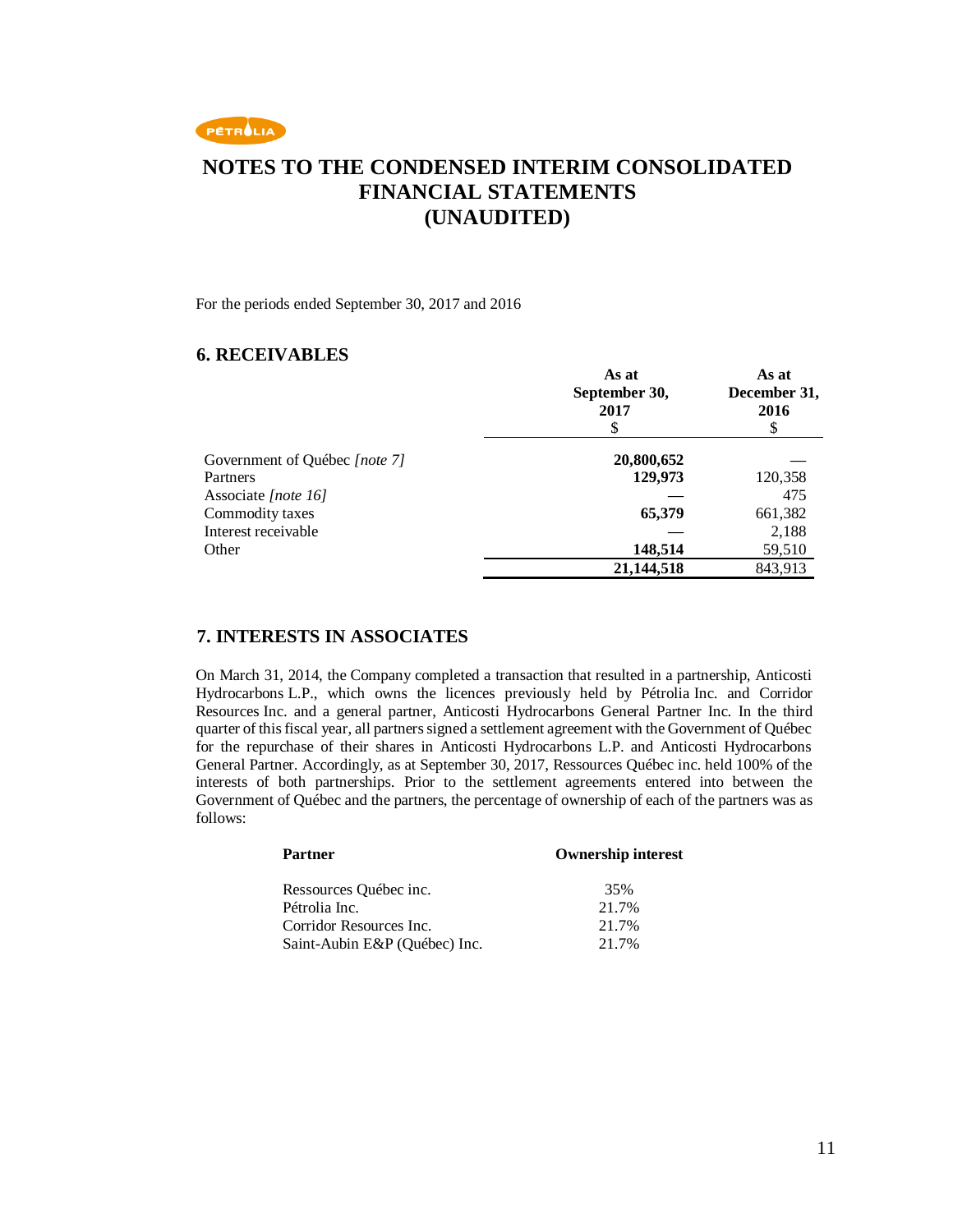

For the periods ended September 30, 2017 and 2016

### **6. RECEIVABLES**

|                               | As at<br>September 30,<br>2017 | As at<br>December 31,<br>2016 |
|-------------------------------|--------------------------------|-------------------------------|
| Government of Québec [note 7] | 20,800,652                     |                               |
| Partners                      | 129,973                        | 120,358                       |
| Associate [note 16]           |                                | 475                           |
| Commodity taxes               | 65,379                         | 661,382                       |
| Interest receivable           |                                | 2,188                         |
| Other                         | 148,514                        | 59,510                        |
|                               | 21,144,518                     | 843,913                       |

### **7. INTERESTS IN ASSOCIATES**

On March 31, 2014, the Company completed a transaction that resulted in a partnership, Anticosti Hydrocarbons L.P., which owns the licences previously held by Pétrolia Inc. and Corridor Resources Inc. and a general partner, Anticosti Hydrocarbons General Partner Inc. In the third quarter of this fiscal year, all partners signed a settlement agreement with the Government of Québec for the repurchase of their shares in Anticosti Hydrocarbons L.P. and Anticosti Hydrocarbons General Partner. Accordingly, as at September 30, 2017, Ressources Québec inc. held 100% of the interests of both partnerships. Prior to the settlement agreements entered into between the Government of Québec and the partners, the percentage of ownership of each of the partners was as follows:

| <b>Partner</b>                | <b>Ownership interest</b> |
|-------------------------------|---------------------------|
| Ressources Québec inc.        | 35%                       |
| Pétrolia Inc.                 | 21.7%                     |
| Corridor Resources Inc.       | 21.7%                     |
| Saint-Aubin E&P (Ouébec) Inc. | 21.7%                     |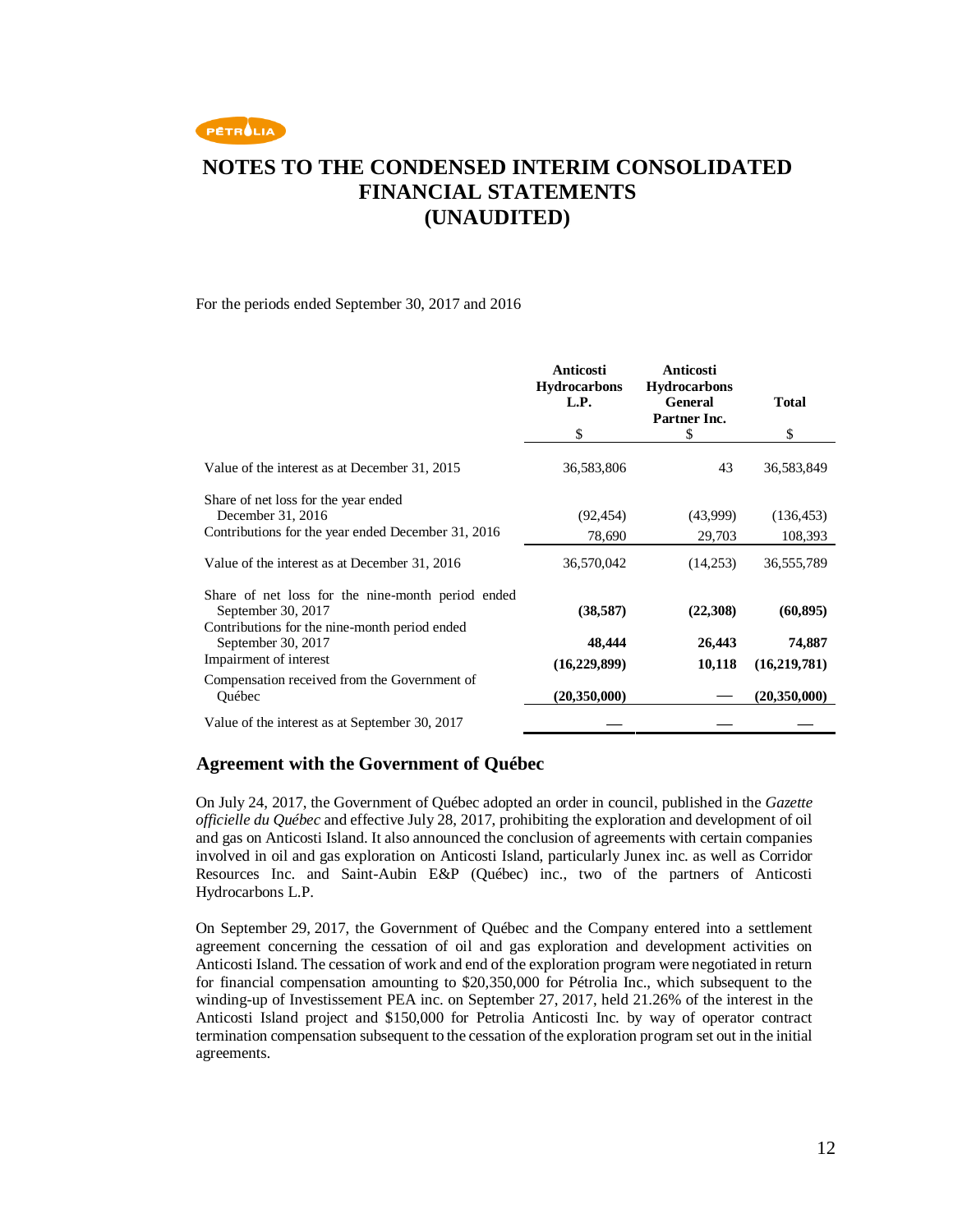

#### For the periods ended September 30, 2017 and 2016

|                                                                                                                          | <b>Anticosti</b><br><b>Hydrocarbons</b><br>L.P. | Anticosti<br><b>Hydrocarbons</b><br><b>General</b><br>Partner Inc. | <b>Total</b> |
|--------------------------------------------------------------------------------------------------------------------------|-------------------------------------------------|--------------------------------------------------------------------|--------------|
|                                                                                                                          | \$                                              | \$                                                                 | \$           |
| Value of the interest as at December 31, 2015                                                                            | 36,583,806                                      | 43                                                                 | 36,583,849   |
| Share of net loss for the year ended<br>December 31, 2016                                                                | (92, 454)                                       | (43,999)                                                           | (136, 453)   |
| Contributions for the year ended December 31, 2016                                                                       | 78,690                                          | 29,703                                                             | 108,393      |
| Value of the interest as at December 31, 2016                                                                            | 36,570,042                                      | (14,253)                                                           | 36,555,789   |
| Share of net loss for the nine-month period ended<br>September 30, 2017<br>Contributions for the nine-month period ended | (38, 587)                                       | (22,308)                                                           | (60, 895)    |
| September 30, 2017                                                                                                       | 48,444                                          | 26,443                                                             | 74,887       |
| Impairment of interest                                                                                                   | (16, 229, 899)                                  | 10,118                                                             | (16,219,781) |
| Compensation received from the Government of<br>Ouébec                                                                   | (20, 350, 000)                                  |                                                                    | (20,350,000) |
| Value of the interest as at September 30, 2017                                                                           |                                                 |                                                                    |              |

### **Agreement with the Government of Québec**

On July 24, 2017, the Government of Québec adopted an order in council, published in the *Gazette officielle du Québec* and effective July 28, 2017, prohibiting the exploration and development of oil and gas on Anticosti Island. It also announced the conclusion of agreements with certain companies involved in oil and gas exploration on Anticosti Island, particularly Junex inc. as well as Corridor Resources Inc. and Saint-Aubin E&P (Québec) inc., two of the partners of Anticosti Hydrocarbons L.P.

On September 29, 2017, the Government of Québec and the Company entered into a settlement agreement concerning the cessation of oil and gas exploration and development activities on Anticosti Island. The cessation of work and end of the exploration program were negotiated in return for financial compensation amounting to \$20,350,000 for Pétrolia Inc., which subsequent to the winding-up of Investissement PEA inc. on September 27, 2017, held 21.26% of the interest in the Anticosti Island project and \$150,000 for Petrolia Anticosti Inc. by way of operator contract termination compensation subsequent to the cessation of the exploration program set out in the initial agreements.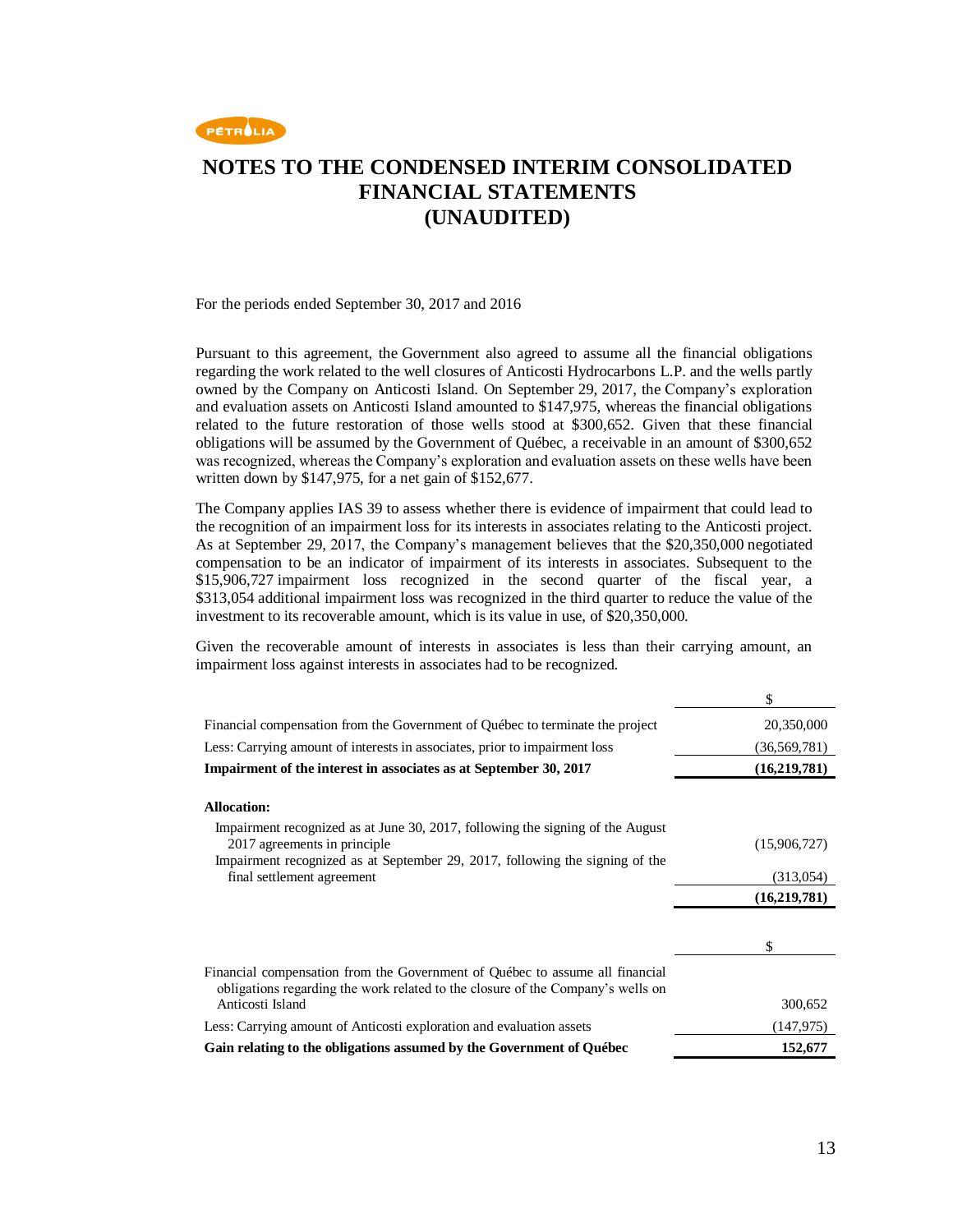

For the periods ended September 30, 2017 and 2016

Pursuant to this agreement, the Government also agreed to assume all the financial obligations regarding the work related to the well closures of Anticosti Hydrocarbons L.P. and the wells partly owned by the Company on Anticosti Island. On September 29, 2017, the Company's exploration and evaluation assets on Anticosti Island amounted to \$147,975, whereas the financial obligations related to the future restoration of those wells stood at \$300,652. Given that these financial obligations will be assumed by the Government of Québec, a receivable in an amount of \$300,652 was recognized, whereas the Company's exploration and evaluation assets on these wells have been written down by \$147,975, for a net gain of \$152,677.

The Company applies IAS 39 to assess whether there is evidence of impairment that could lead to the recognition of an impairment loss for its interests in associates relating to the Anticosti project. As at September 29, 2017, the Company's management believes that the \$20,350,000 negotiated compensation to be an indicator of impairment of its interests in associates. Subsequent to the \$15,906,727 impairment loss recognized in the second quarter of the fiscal year, a \$313,054 additional impairment loss was recognized in the third quarter to reduce the value of the investment to its recoverable amount, which is its value in use, of \$20,350,000.

Given the recoverable amount of interests in associates is less than their carrying amount, an impairment loss against interests in associates had to be recognized.

|                                                                                                                                                                                                | \$             |
|------------------------------------------------------------------------------------------------------------------------------------------------------------------------------------------------|----------------|
| Financial compensation from the Government of Québec to terminate the project                                                                                                                  | 20,350,000     |
| Less: Carrying amount of interests in associates, prior to impairment loss                                                                                                                     | (36, 569, 781) |
| Impairment of the interest in associates as at September 30, 2017                                                                                                                              | (16,219,781)   |
| <b>Allocation:</b>                                                                                                                                                                             |                |
| Impairment recognized as at June 30, 2017, following the signing of the August<br>2017 agreements in principle<br>Impairment recognized as at September 29, 2017, following the signing of the | (15,906,727)   |
| final settlement agreement                                                                                                                                                                     | (313,054)      |
|                                                                                                                                                                                                | (16,219,781)   |
|                                                                                                                                                                                                |                |
|                                                                                                                                                                                                | \$             |
| Financial compensation from the Government of Québec to assume all financial<br>obligations regarding the work related to the closure of the Company's wells on                                |                |
| Anticosti Island                                                                                                                                                                               | 300,652        |
| Less: Carrying amount of Anticosti exploration and evaluation assets                                                                                                                           | (147, 975)     |
| Gain relating to the obligations assumed by the Government of Québec                                                                                                                           | 152,677        |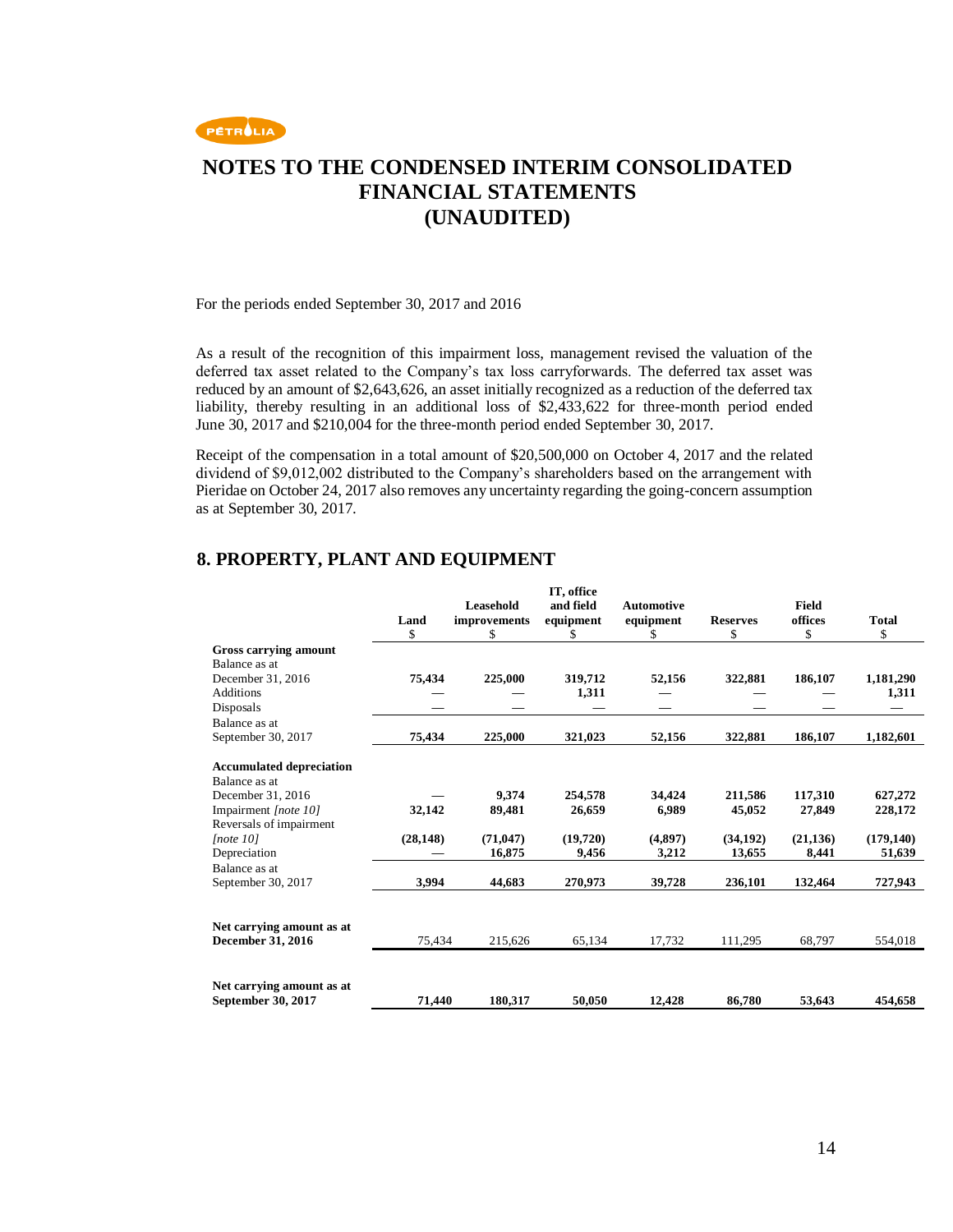

For the periods ended September 30, 2017 and 2016

As a result of the recognition of this impairment loss, management revised the valuation of the deferred tax asset related to the Company's tax loss carryforwards. The deferred tax asset was reduced by an amount of \$2,643,626, an asset initially recognized as a reduction of the deferred tax liability, thereby resulting in an additional loss of \$2,433,622 for three-month period ended June 30, 2017 and \$210,004 for the three-month period ended September 30, 2017.

Receipt of the compensation in a total amount of \$20,500,000 on October 4, 2017 and the related dividend of \$9,012,002 distributed to the Company's shareholders based on the arrangement with Pieridae on October 24, 2017 also removes any uncertainty regarding the going-concern assumption as at September 30, 2017.

| <b>Total</b>                                                                                 |
|----------------------------------------------------------------------------------------------|
|                                                                                              |
| \$                                                                                           |
|                                                                                              |
|                                                                                              |
| 1,181,290                                                                                    |
| 1,311                                                                                        |
|                                                                                              |
|                                                                                              |
| 1,182,601                                                                                    |
|                                                                                              |
|                                                                                              |
|                                                                                              |
| 627,272                                                                                      |
| 228,172                                                                                      |
|                                                                                              |
| (179, 140)                                                                                   |
| 51,639                                                                                       |
| 727,943                                                                                      |
|                                                                                              |
|                                                                                              |
| 554,018                                                                                      |
|                                                                                              |
|                                                                                              |
|                                                                                              |
| 454,658                                                                                      |
| 186,107<br>186,107<br>117,310<br>27,849<br>(21, 136)<br>8,441<br>132,464<br>68,797<br>53,643 |

### **8. PROPERTY, PLANT AND EQUIPMENT**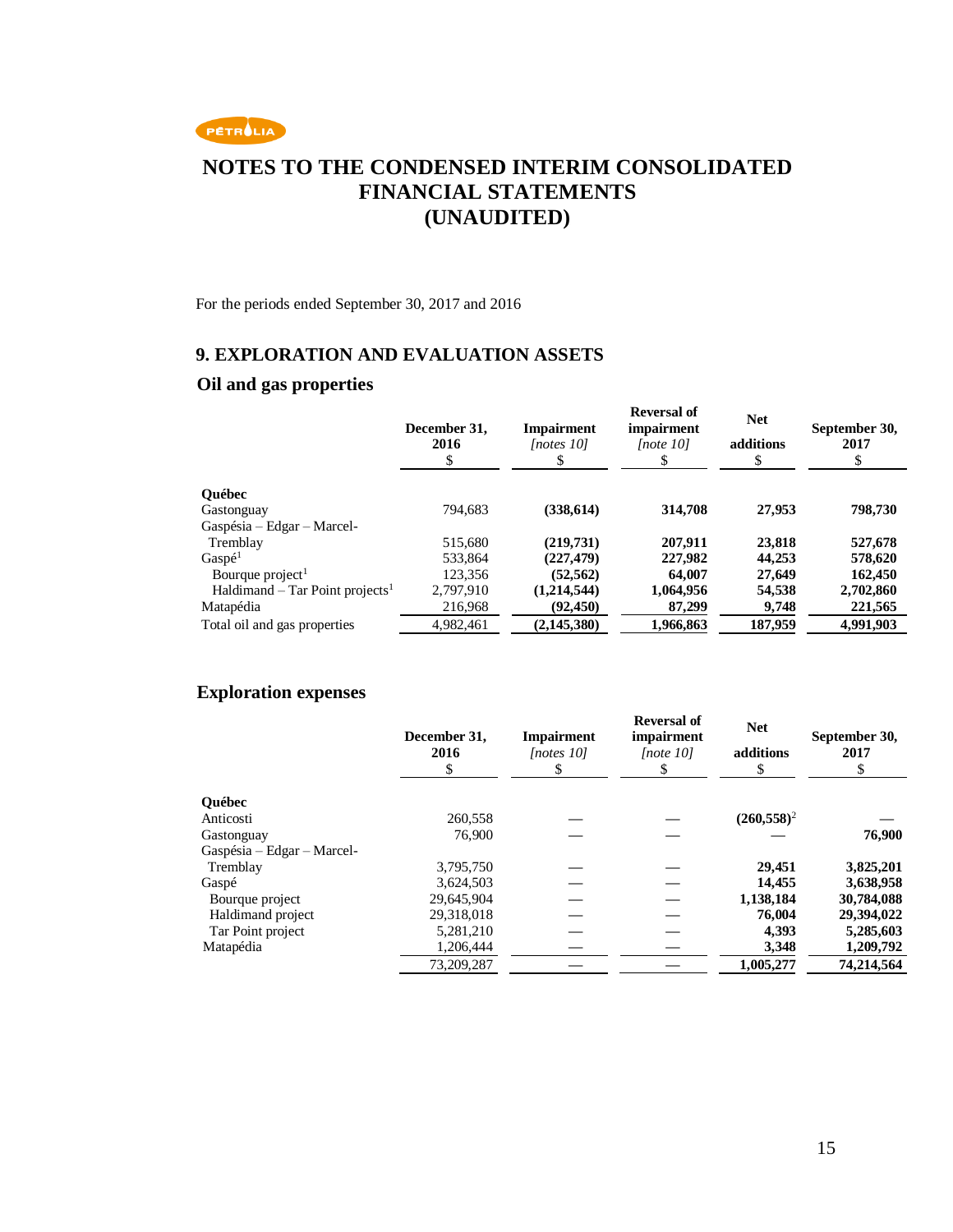

For the periods ended September 30, 2017 and 2016

### **9. EXPLORATION AND EVALUATION ASSETS**

### **Oil and gas properties**

|                                             | December 31,<br>2016<br>\$ | <b>Impairment</b><br><i>Inotes 101</i><br>\$ | <b>Reversal of</b><br>impairment<br>[note 10] | <b>Net</b><br>additions | September 30,<br>2017 |
|---------------------------------------------|----------------------------|----------------------------------------------|-----------------------------------------------|-------------------------|-----------------------|
| <b>Ouébec</b>                               |                            |                                              |                                               |                         |                       |
| Gastonguay                                  | 794.683                    | (338, 614)                                   | 314,708                                       | 27,953                  | 798,730               |
| Gaspésia - Edgar - Marcel-                  |                            |                                              |                                               |                         |                       |
| Tremblay                                    | 515,680                    | (219,731)                                    | 207.911                                       | 23,818                  | 527,678               |
| Gaspé <sup>1</sup>                          | 533.864                    | (227, 479)                                   | 227,982                                       | 44,253                  | 578,620               |
| Bourque project <sup>1</sup>                | 123,356                    | (52, 562)                                    | 64,007                                        | 27,649                  | 162,450               |
| Haldimand – Tar Point projects <sup>1</sup> | 2,797,910                  | (1,214,544)                                  | 1,064,956                                     | 54,538                  | 2,702,860             |
| Matapédia                                   | 216,968                    | (92, 450)                                    | 87,299                                        | 9,748                   | 221,565               |
| Total oil and gas properties                | 4,982,461                  | (2, 145, 380)                                | 1.966.863                                     | 187,959                 | 4,991,903             |

### **Exploration expenses**

|                            | December 31,<br>2016<br>\$ | <b>Impairment</b><br>[notes 10]<br>У | <b>Reversal of</b><br>impairment<br>[note 10] | <b>Net</b><br>additions<br>S | September 30,<br>2017 |
|----------------------------|----------------------------|--------------------------------------|-----------------------------------------------|------------------------------|-----------------------|
| <b>Ouébec</b>              |                            |                                      |                                               |                              |                       |
| Anticosti                  | 260,558                    |                                      |                                               | $(260, 558)^2$               |                       |
| Gastonguay                 | 76,900                     |                                      |                                               |                              | 76,900                |
| Gaspésia - Edgar - Marcel- |                            |                                      |                                               |                              |                       |
| Tremblay                   | 3,795,750                  |                                      |                                               | 29.451                       | 3,825,201             |
| Gaspé                      | 3,624,503                  |                                      |                                               | 14.455                       | 3,638,958             |
| Bourque project            | 29,645,904                 |                                      |                                               | 1,138,184                    | 30,784,088            |
| Haldimand project          | 29,318,018                 |                                      |                                               | 76,004                       | 29,394,022            |
| Tar Point project          | 5,281,210                  |                                      |                                               | 4,393                        | 5,285,603             |
| Matapédia                  | 1,206,444                  |                                      |                                               | 3,348                        | 1,209,792             |
|                            | 73,209,287                 |                                      |                                               | 1,005,277                    | 74.214.564            |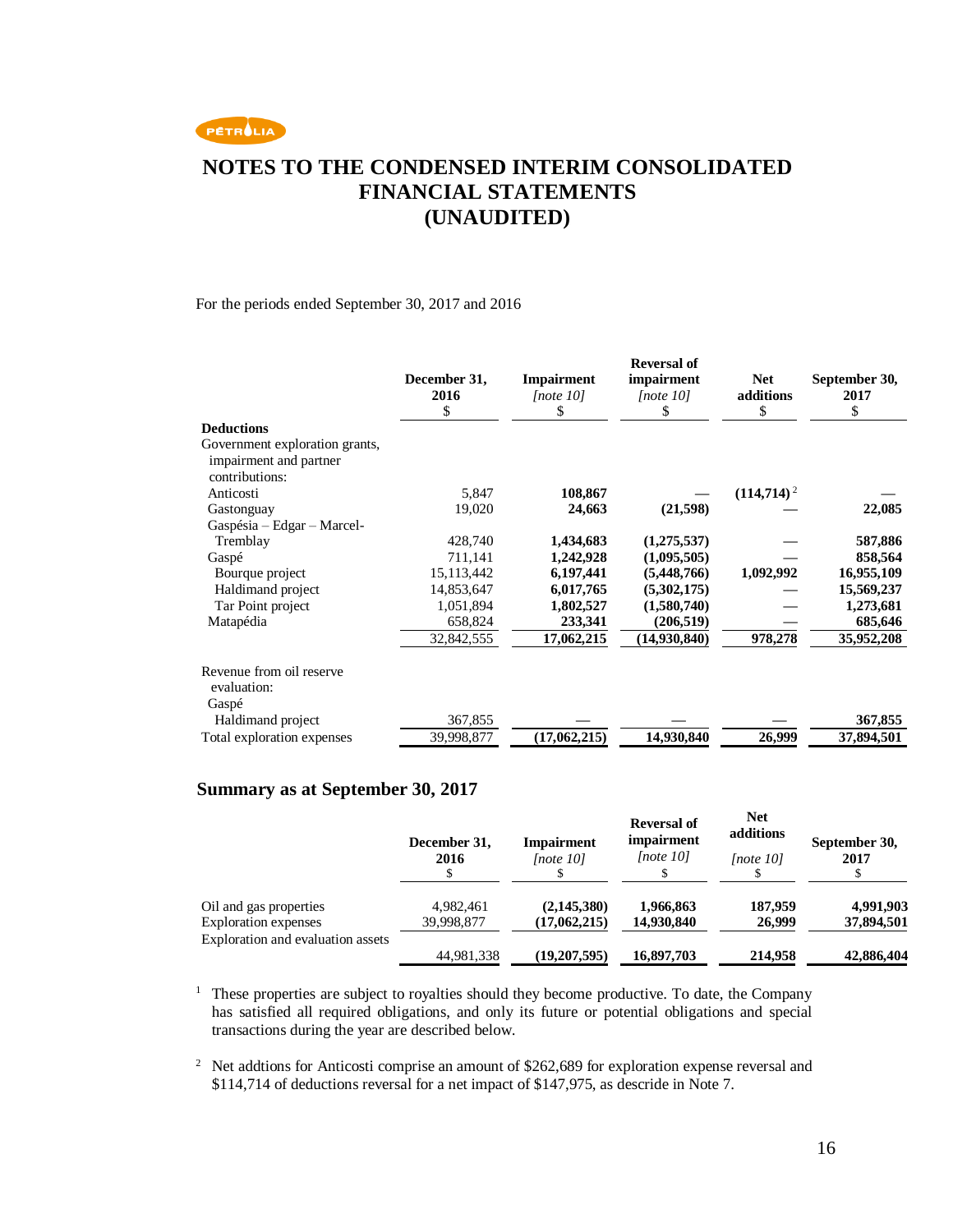

#### For the periods ended September 30, 2017 and 2016

|                                                                            | December 31,<br>2016<br>\$ | <b>Impairment</b><br>[note 10]<br>\$ | <b>Reversal of</b><br>impairment<br>[note 10]<br>\$ | <b>Net</b><br>additions<br>\$ | September 30,<br>2017<br>\$ |
|----------------------------------------------------------------------------|----------------------------|--------------------------------------|-----------------------------------------------------|-------------------------------|-----------------------------|
| <b>Deductions</b>                                                          |                            |                                      |                                                     |                               |                             |
| Government exploration grants,<br>impairment and partner<br>contributions: |                            |                                      |                                                     |                               |                             |
| Anticosti                                                                  | 5,847                      | 108,867                              |                                                     | $(114,714)^2$                 |                             |
| Gastonguay                                                                 | 19,020                     | 24,663                               | (21, 598)                                           |                               | 22,085                      |
| Gaspésia - Edgar - Marcel-                                                 |                            |                                      |                                                     |                               |                             |
| Tremblay                                                                   | 428,740                    | 1,434,683                            | (1,275,537)                                         |                               | 587,886                     |
| Gaspé                                                                      | 711,141                    | 1,242,928                            | (1,095,505)                                         |                               | 858,564                     |
| Bourque project                                                            | 15,113,442                 | 6,197,441                            | (5,448,766)                                         | 1,092,992                     | 16,955,109                  |
| Haldimand project                                                          | 14,853,647                 | 6,017,765                            | (5,302,175)                                         |                               | 15,569,237                  |
| Tar Point project                                                          | 1,051,894                  | 1,802,527                            | (1,580,740)                                         |                               | 1,273,681                   |
| Matapédia                                                                  | 658,824                    | 233,341                              | (206, 519)                                          |                               | 685,646                     |
|                                                                            | 32,842,555                 | 17,062,215                           | (14,930,840)                                        | 978,278                       | 35,952,208                  |
| Revenue from oil reserve<br>evaluation:<br>Gaspé                           |                            |                                      |                                                     |                               |                             |
| Haldimand project                                                          | 367,855                    |                                      |                                                     |                               | 367,855                     |
| Total exploration expenses                                                 | 39,998,877                 | (17,062,215)                         | 14,930,840                                          | 26,999                        | 37,894,501                  |

### **Summary as at September 30, 2017**

|                                   | December 31,<br>2016 | <b>Impairment</b><br>[note 10] | <b>Reversal of</b><br>impairment<br>[note 10] | <b>Net</b><br>additions<br>[note 10] | September 30,<br>2017 |
|-----------------------------------|----------------------|--------------------------------|-----------------------------------------------|--------------------------------------|-----------------------|
| Oil and gas properties            | 4,982,461            | (2,145,380)                    | 1,966,863                                     | 187,959                              | 4,991,903             |
| <b>Exploration</b> expenses       | 39,998,877           | (17,062,215)                   | 14,930,840                                    | 26,999                               | 37,894,501            |
| Exploration and evaluation assets | 44,981,338           | (19,207,595)                   | 16,897,703                                    | 214,958                              | 42,886,404            |

<sup>1</sup> These properties are subject to royalties should they become productive. To date, the Company has satisfied all required obligations, and only its future or potential obligations and special transactions during the year are described below.

<sup>2</sup> Net addtions for Anticosti comprise an amount of \$262,689 for exploration expense reversal and \$114,714 of deductions reversal for a net impact of \$147,975, as descride in Note 7.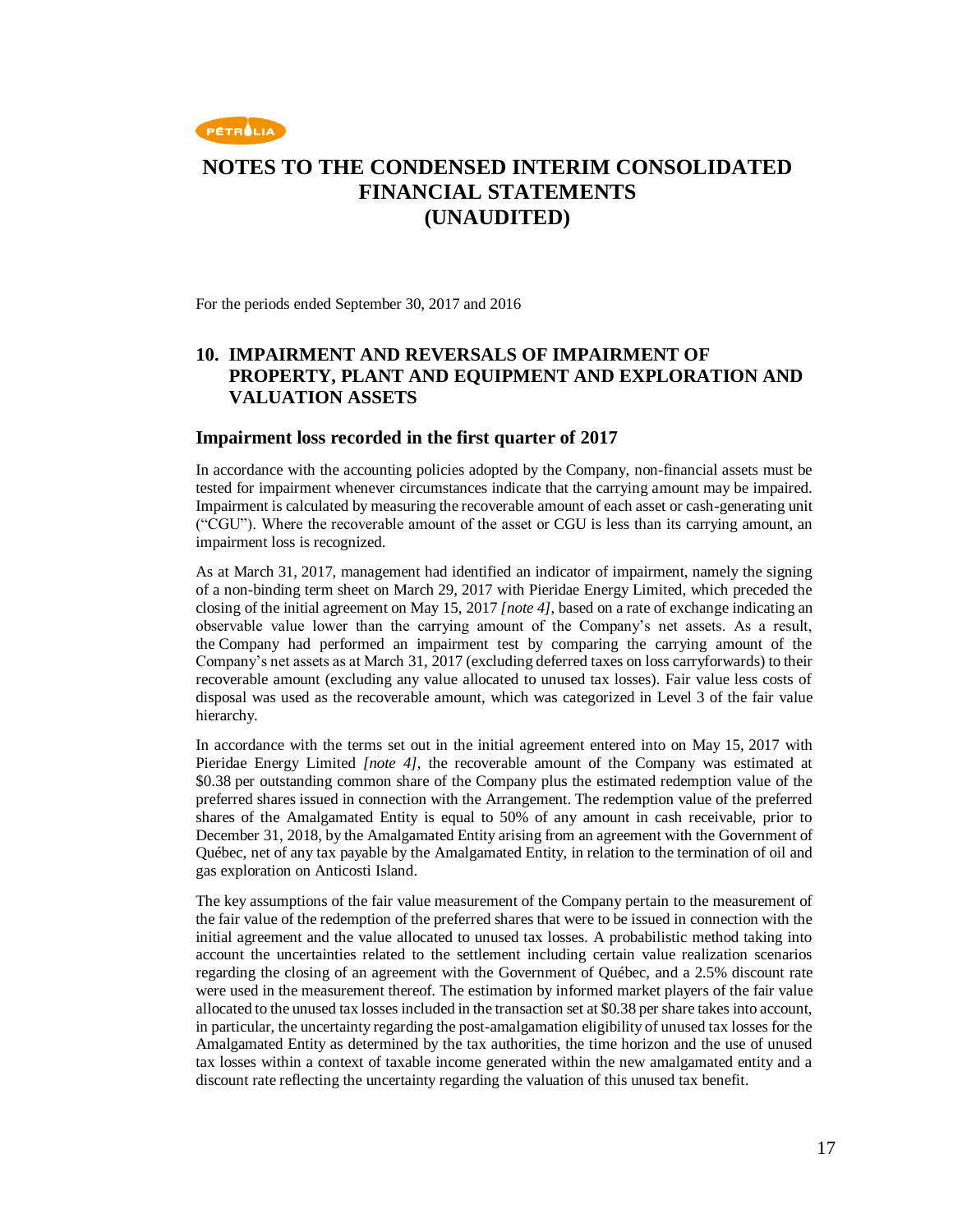

For the periods ended September 30, 2017 and 2016

### **10. IMPAIRMENT AND REVERSALS OF IMPAIRMENT OF PROPERTY, PLANT AND EQUIPMENT AND EXPLORATION AND VALUATION ASSETS**

#### **Impairment loss recorded in the first quarter of 2017**

In accordance with the accounting policies adopted by the Company, non-financial assets must be tested for impairment whenever circumstances indicate that the carrying amount may be impaired. Impairment is calculated by measuring the recoverable amount of each asset or cash-generating unit ("CGU"). Where the recoverable amount of the asset or CGU is less than its carrying amount, an impairment loss is recognized.

As at March 31, 2017, management had identified an indicator of impairment, namely the signing of a non-binding term sheet on March 29, 2017 with Pieridae Energy Limited, which preceded the closing of the initial agreement on May 15, 2017 *[note 4]*, based on a rate of exchange indicating an observable value lower than the carrying amount of the Company's net assets. As a result, the Company had performed an impairment test by comparing the carrying amount of the Company's net assets as at March 31, 2017 (excluding deferred taxes on loss carryforwards) to their recoverable amount (excluding any value allocated to unused tax losses). Fair value less costs of disposal was used as the recoverable amount, which was categorized in Level 3 of the fair value hierarchy.

In accordance with the terms set out in the initial agreement entered into on May 15, 2017 with Pieridae Energy Limited *[note 4]*, the recoverable amount of the Company was estimated at \$0.38 per outstanding common share of the Company plus the estimated redemption value of the preferred shares issued in connection with the Arrangement. The redemption value of the preferred shares of the Amalgamated Entity is equal to 50% of any amount in cash receivable, prior to December 31, 2018, by the Amalgamated Entity arising from an agreement with the Government of Québec, net of any tax payable by the Amalgamated Entity, in relation to the termination of oil and gas exploration on Anticosti Island.

The key assumptions of the fair value measurement of the Company pertain to the measurement of the fair value of the redemption of the preferred shares that were to be issued in connection with the initial agreement and the value allocated to unused tax losses. A probabilistic method taking into account the uncertainties related to the settlement including certain value realization scenarios regarding the closing of an agreement with the Government of Québec, and a 2.5% discount rate were used in the measurement thereof. The estimation by informed market players of the fair value allocated to the unused tax losses included in the transaction set at \$0.38 per share takes into account, in particular, the uncertainty regarding the post-amalgamation eligibility of unused tax losses for the Amalgamated Entity as determined by the tax authorities, the time horizon and the use of unused tax losses within a context of taxable income generated within the new amalgamated entity and a discount rate reflecting the uncertainty regarding the valuation of this unused tax benefit.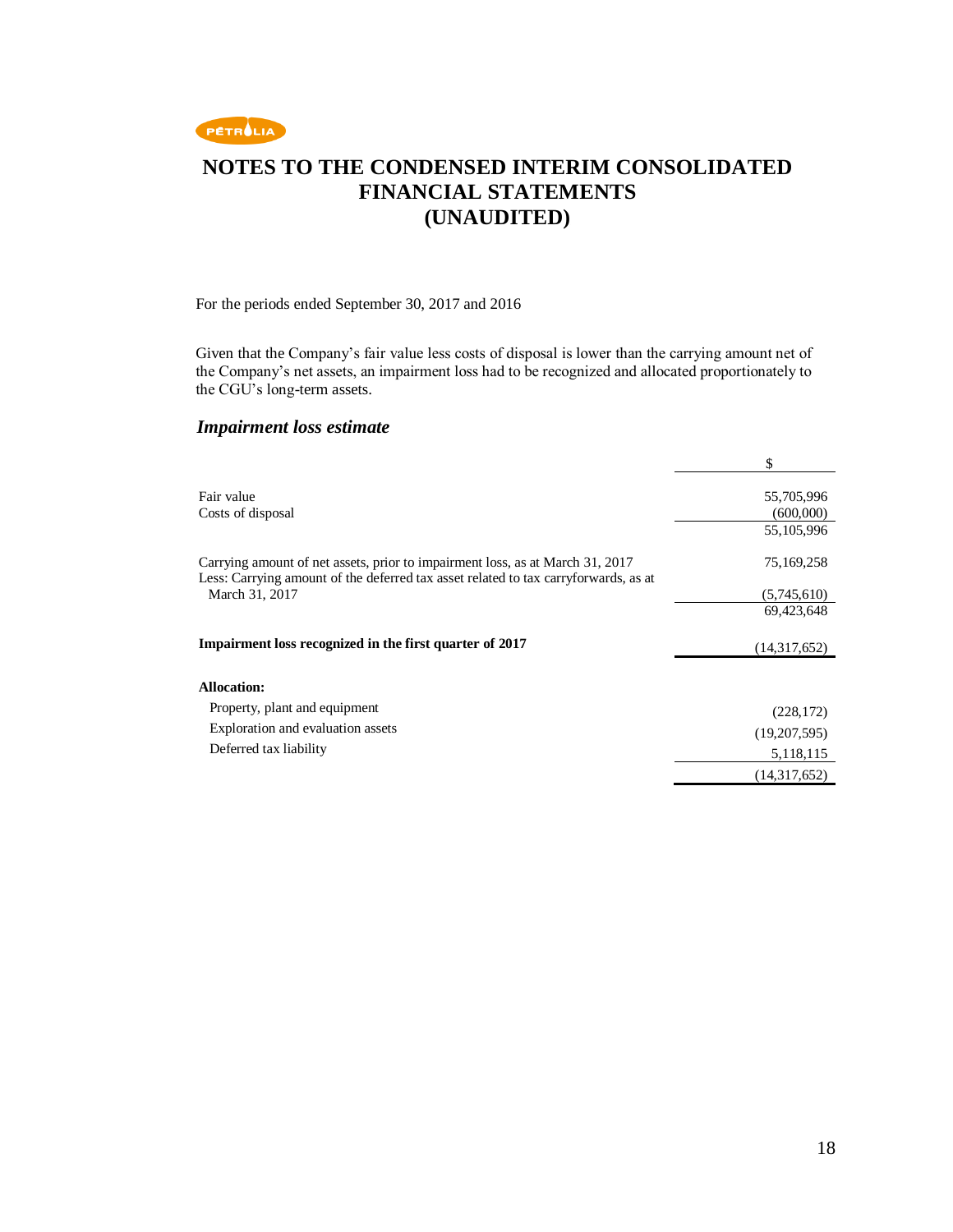

For the periods ended September 30, 2017 and 2016

Given that the Company's fair value less costs of disposal is lower than the carrying amount net of the Company's net assets, an impairment loss had to be recognized and allocated proportionately to the CGU's long-term assets.

### *Impairment loss estimate*

|                                                                                                                                                                      | \$                      |
|----------------------------------------------------------------------------------------------------------------------------------------------------------------------|-------------------------|
| Fair value<br>Costs of disposal                                                                                                                                      | 55,705,996<br>(600,000) |
|                                                                                                                                                                      | 55,105,996              |
| Carrying amount of net assets, prior to impairment loss, as at March 31, 2017<br>Less: Carrying amount of the deferred tax asset related to tax carryforwards, as at | 75,169,258              |
| March 31, 2017                                                                                                                                                       | (5,745,610)             |
|                                                                                                                                                                      | 69,423,648              |
| Impairment loss recognized in the first quarter of 2017                                                                                                              | (14,317,652)            |
| <b>Allocation:</b>                                                                                                                                                   |                         |
| Property, plant and equipment                                                                                                                                        | (228, 172)              |
| Exploration and evaluation assets                                                                                                                                    | (19,207,595)            |
| Deferred tax liability                                                                                                                                               | 5,118,115               |
|                                                                                                                                                                      | (14,317,652)            |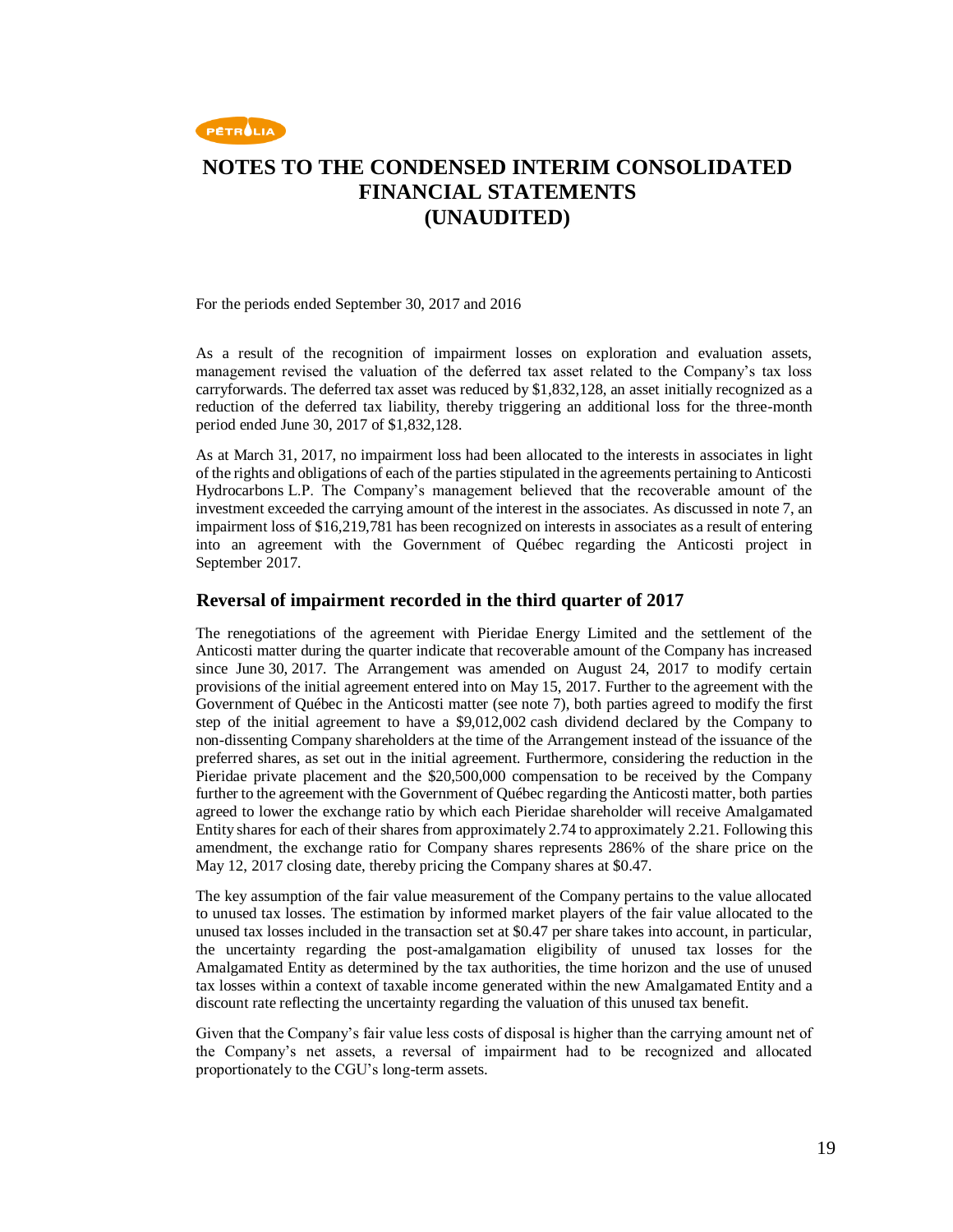

For the periods ended September 30, 2017 and 2016

As a result of the recognition of impairment losses on exploration and evaluation assets, management revised the valuation of the deferred tax asset related to the Company's tax loss carryforwards. The deferred tax asset was reduced by \$1,832,128, an asset initially recognized as a reduction of the deferred tax liability, thereby triggering an additional loss for the three-month period ended June 30, 2017 of \$1,832,128.

As at March 31, 2017, no impairment loss had been allocated to the interests in associates in light of the rights and obligations of each of the parties stipulated in the agreements pertaining to Anticosti Hydrocarbons L.P. The Company's management believed that the recoverable amount of the investment exceeded the carrying amount of the interest in the associates. As discussed in note 7, an impairment loss of \$16,219,781 has been recognized on interests in associates as a result of entering into an agreement with the Government of Québec regarding the Anticosti project in September 2017.

#### **Reversal of impairment recorded in the third quarter of 2017**

The renegotiations of the agreement with Pieridae Energy Limited and the settlement of the Anticosti matter during the quarter indicate that recoverable amount of the Company has increased since June 30, 2017. The Arrangement was amended on August 24, 2017 to modify certain provisions of the initial agreement entered into on May 15, 2017. Further to the agreement with the Government of Québec in the Anticosti matter (see note 7), both parties agreed to modify the first step of the initial agreement to have a \$9,012,002 cash dividend declared by the Company to non-dissenting Company shareholders at the time of the Arrangement instead of the issuance of the preferred shares, as set out in the initial agreement. Furthermore, considering the reduction in the Pieridae private placement and the \$20,500,000 compensation to be received by the Company further to the agreement with the Government of Québec regarding the Anticosti matter, both parties agreed to lower the exchange ratio by which each Pieridae shareholder will receive Amalgamated Entity shares for each of their shares from approximately 2.74 to approximately 2.21. Following this amendment, the exchange ratio for Company shares represents 286% of the share price on the May 12, 2017 closing date, thereby pricing the Company shares at \$0.47.

The key assumption of the fair value measurement of the Company pertains to the value allocated to unused tax losses. The estimation by informed market players of the fair value allocated to the unused tax losses included in the transaction set at \$0.47 per share takes into account, in particular, the uncertainty regarding the post-amalgamation eligibility of unused tax losses for the Amalgamated Entity as determined by the tax authorities, the time horizon and the use of unused tax losses within a context of taxable income generated within the new Amalgamated Entity and a discount rate reflecting the uncertainty regarding the valuation of this unused tax benefit.

Given that the Company's fair value less costs of disposal is higher than the carrying amount net of the Company's net assets, a reversal of impairment had to be recognized and allocated proportionately to the CGU's long-term assets.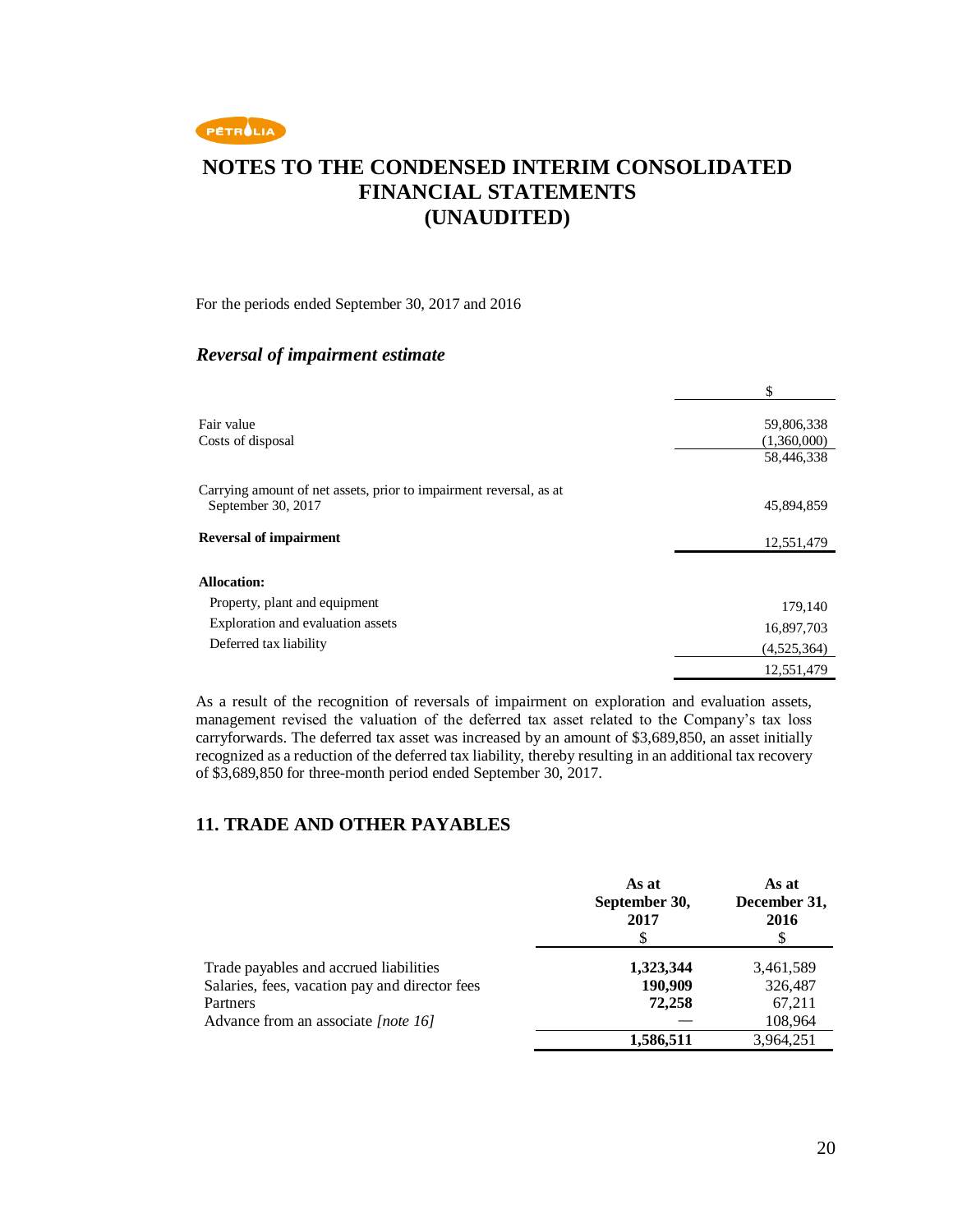

#### For the periods ended September 30, 2017 and 2016

### *Reversal of impairment estimate*

|                                                                                          | \$          |
|------------------------------------------------------------------------------------------|-------------|
| Fair value                                                                               | 59,806,338  |
| Costs of disposal                                                                        | (1,360,000) |
|                                                                                          | 58,446,338  |
| Carrying amount of net assets, prior to impairment reversal, as at<br>September 30, 2017 | 45,894,859  |
| <b>Reversal of impairment</b>                                                            | 12,551,479  |
| <b>Allocation:</b>                                                                       |             |
| Property, plant and equipment                                                            | 179,140     |
| Exploration and evaluation assets                                                        | 16,897,703  |
| Deferred tax liability                                                                   | (4,525,364) |
|                                                                                          | 12,551,479  |

As a result of the recognition of reversals of impairment on exploration and evaluation assets, management revised the valuation of the deferred tax asset related to the Company's tax loss carryforwards. The deferred tax asset was increased by an amount of \$3,689,850, an asset initially recognized as a reduction of the deferred tax liability, thereby resulting in an additional tax recovery of \$3,689,850 for three-month period ended September 30, 2017.

### **11. TRADE AND OTHER PAYABLES**

|                                                | As at<br>September 30,<br>2017<br>S | As at<br>December 31,<br>2016 |
|------------------------------------------------|-------------------------------------|-------------------------------|
| Trade payables and accrued liabilities         | 1,323,344                           | 3,461,589                     |
| Salaries, fees, vacation pay and director fees | 190,909                             | 326,487                       |
| Partners                                       | 72,258                              | 67,211                        |
| Advance from an associate [note 16]            |                                     | 108,964                       |
|                                                | 1,586,511                           | 3.964.251                     |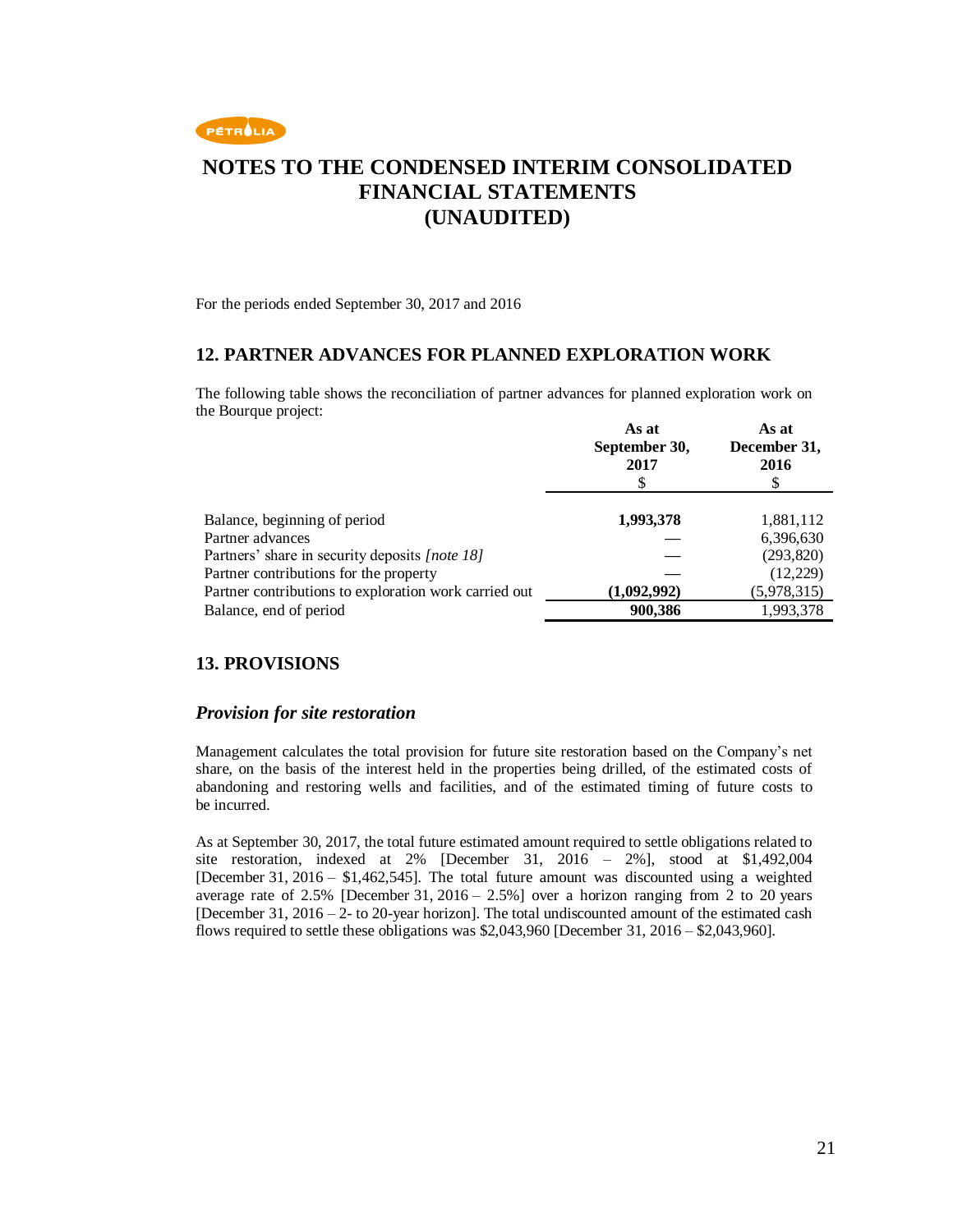

For the periods ended September 30, 2017 and 2016

### **12. PARTNER ADVANCES FOR PLANNED EXPLORATION WORK**

The following table shows the reconciliation of partner advances for planned exploration work on the Bourque project:

| As at<br>September 30,<br>2017<br>S | As at<br>December 31,<br>2016 |
|-------------------------------------|-------------------------------|
| 1,993,378                           | 1,881,112                     |
|                                     | 6,396,630                     |
|                                     | (293, 820)                    |
|                                     | (12,229)                      |
| (1,092,992)                         | (5,978,315)                   |
| 900,386                             | 1,993,378                     |
|                                     |                               |

### **13. PROVISIONS**

#### *Provision for site restoration*

Management calculates the total provision for future site restoration based on the Company's net share, on the basis of the interest held in the properties being drilled, of the estimated costs of abandoning and restoring wells and facilities, and of the estimated timing of future costs to be incurred.

As at September 30, 2017, the total future estimated amount required to settle obligations related to site restoration, indexed at 2% [December 31, 2016 – 2%], stood at \$1,492,004 [December 31, 2016 – \$1,462,545]. The total future amount was discounted using a weighted average rate of 2.5% [December 31, 2016 – 2.5%] over a horizon ranging from 2 to 20 years [December 31, 2016 – 2- to 20-year horizon]. The total undiscounted amount of the estimated cash flows required to settle these obligations was  $$2,043,960$  [December 31,  $2016 - $2,043,960$ ].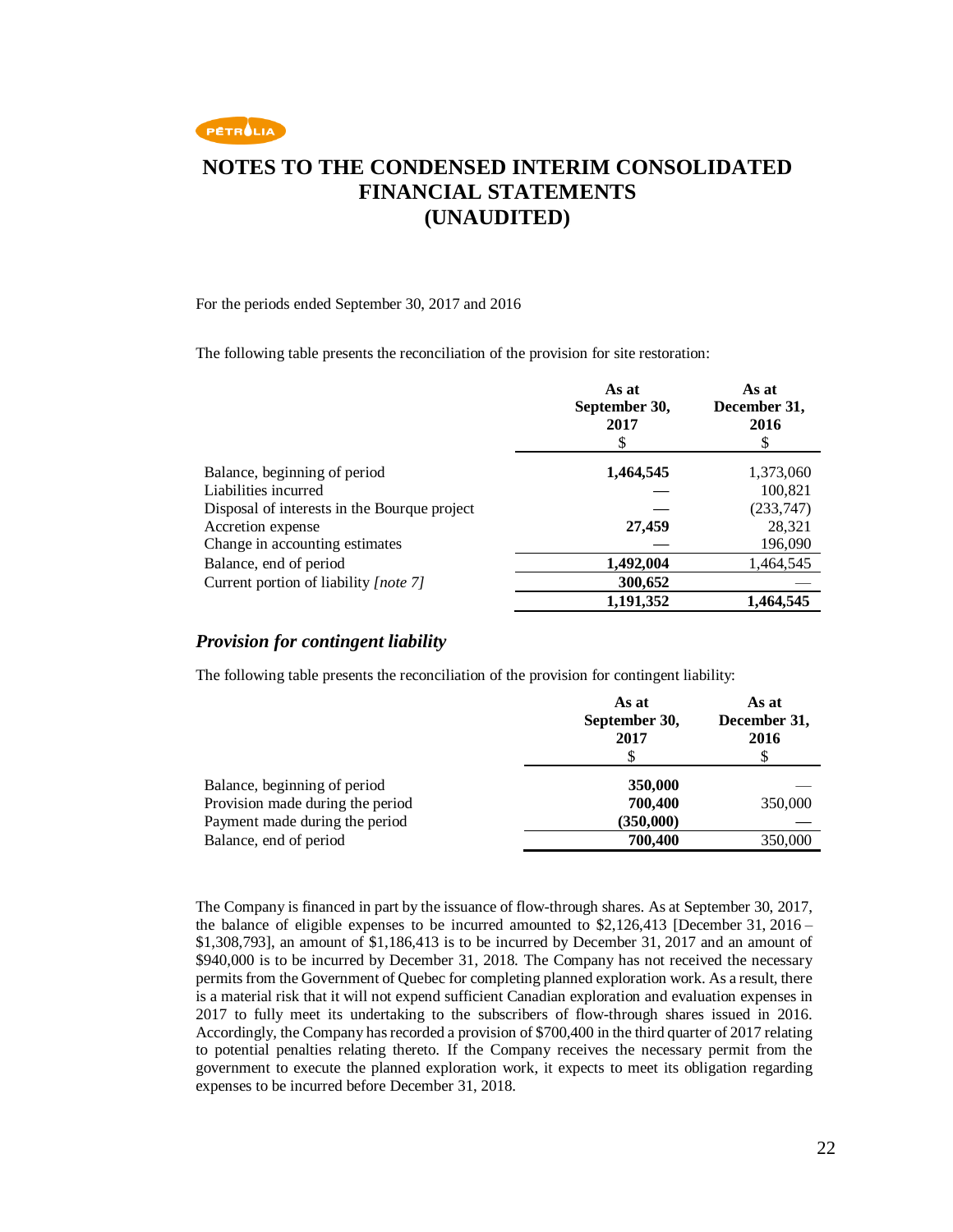

#### For the periods ended September 30, 2017 and 2016

The following table presents the reconciliation of the provision for site restoration:

|                                              | As at<br>September 30,<br>2017<br>S | As at<br>December 31,<br>2016<br>S |
|----------------------------------------------|-------------------------------------|------------------------------------|
| Balance, beginning of period                 | 1,464,545                           | 1,373,060                          |
| Liabilities incurred                         |                                     | 100,821                            |
| Disposal of interests in the Bourque project |                                     | (233,747)                          |
| Accretion expense                            | 27,459                              | 28,321                             |
| Change in accounting estimates               |                                     | 196,090                            |
| Balance, end of period                       | 1,492,004                           | 1,464,545                          |
| Current portion of liability [note 7]        | 300,652                             |                                    |
|                                              | 1,191,352                           | 1,464,545                          |

### *Provision for contingent liability*

The following table presents the reconciliation of the provision for contingent liability:

|                                  | As at<br>September 30,<br>2017 | As at<br>December 31,<br>2016 |
|----------------------------------|--------------------------------|-------------------------------|
| Balance, beginning of period     | 350,000                        |                               |
| Provision made during the period | 700,400                        | 350,000                       |
| Payment made during the period   | (350,000)                      |                               |
| Balance, end of period           | 700,400                        | 350,000                       |

The Company is financed in part by the issuance of flow-through shares. As at September 30, 2017, the balance of eligible expenses to be incurred amounted to \$2,126,413 [December 31, 2016 – \$1,308,793], an amount of \$1,186,413 is to be incurred by December 31, 2017 and an amount of \$940,000 is to be incurred by December 31, 2018. The Company has not received the necessary permits from the Government of Quebec for completing planned exploration work. As a result, there is a material risk that it will not expend sufficient Canadian exploration and evaluation expenses in 2017 to fully meet its undertaking to the subscribers of flow-through shares issued in 2016. Accordingly, the Company has recorded a provision of \$700,400 in the third quarter of 2017 relating to potential penalties relating thereto. If the Company receives the necessary permit from the government to execute the planned exploration work, it expects to meet its obligation regarding expenses to be incurred before December 31, 2018.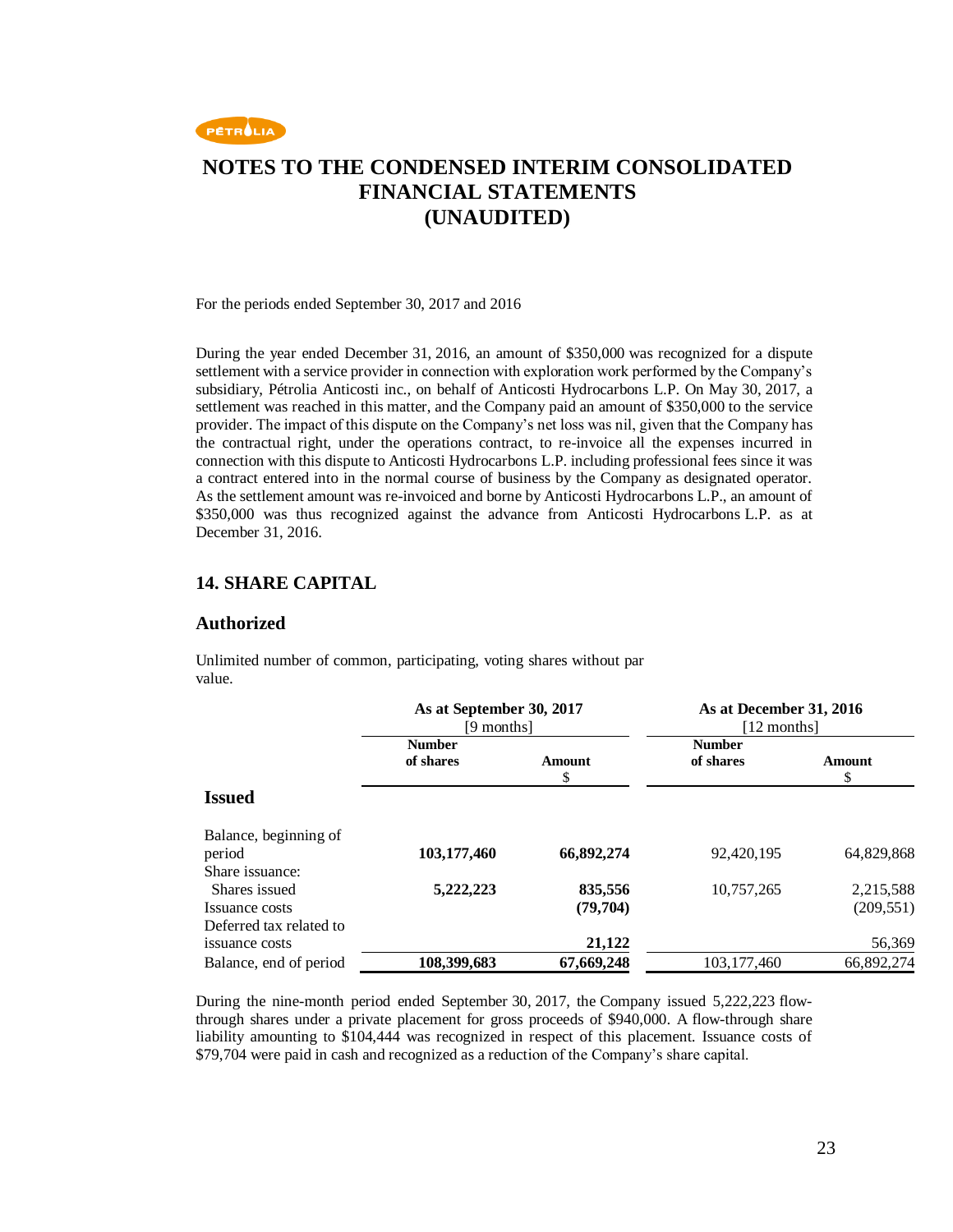

For the periods ended September 30, 2017 and 2016

During the year ended December 31, 2016, an amount of \$350,000 was recognized for a dispute settlement with a service provider in connection with exploration work performed by the Company's subsidiary, Pétrolia Anticosti inc., on behalf of Anticosti Hydrocarbons L.P. On May 30, 2017, a settlement was reached in this matter, and the Company paid an amount of \$350,000 to the service provider. The impact of this dispute on the Company's net loss was nil, given that the Company has the contractual right, under the operations contract, to re-invoice all the expenses incurred in connection with this dispute to Anticosti Hydrocarbons L.P. including professional fees since it was a contract entered into in the normal course of business by the Company as designated operator. As the settlement amount was re-invoiced and borne by Anticosti Hydrocarbons L.P., an amount of \$350,000 was thus recognized against the advance from Anticosti Hydrocarbons L.P. as at December 31, 2016.

### **14. SHARE CAPITAL**

#### **Authorized**

Unlimited number of common, participating, voting shares without par value.

|                         | As at September 30, 2017<br>[9 months] |              | As at December 31, 2016<br>[12 months] |             |
|-------------------------|----------------------------------------|--------------|----------------------------------------|-------------|
|                         | <b>Number</b><br>of shares             | Amount<br>\$ | <b>Number</b><br>of shares             | Amount<br>S |
| <b>Issued</b>           |                                        |              |                                        |             |
| Balance, beginning of   |                                        |              |                                        |             |
| period                  | 103,177,460                            | 66,892,274   | 92,420,195                             | 64,829,868  |
| Share issuance:         |                                        |              |                                        |             |
| Shares issued           | 5,222,223                              | 835,556      | 10,757,265                             | 2,215,588   |
| Issuance costs          |                                        | (79,704)     |                                        | (209, 551)  |
| Deferred tax related to |                                        |              |                                        |             |
| issuance costs          |                                        | 21,122       |                                        | 56,369      |
| Balance, end of period  | 108,399,683                            | 67,669,248   | 103,177,460                            | 66,892,274  |

During the nine-month period ended September 30, 2017, the Company issued 5,222,223 flowthrough shares under a private placement for gross proceeds of \$940,000. A flow-through share liability amounting to \$104,444 was recognized in respect of this placement. Issuance costs of \$79,704 were paid in cash and recognized as a reduction of the Company's share capital.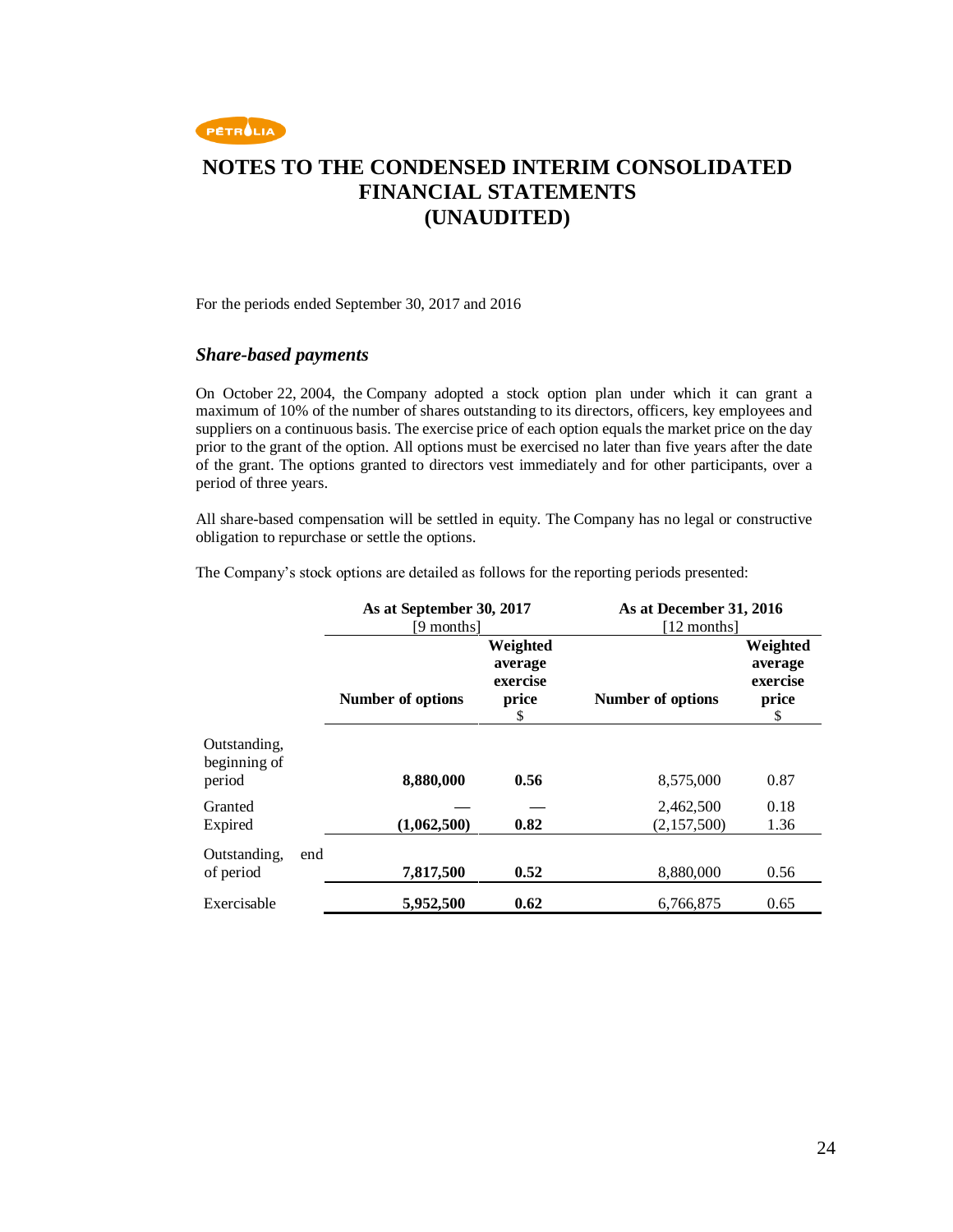

#### For the periods ended September 30, 2017 and 2016

#### *Share-based payments*

On October 22, 2004, the Company adopted a stock option plan under which it can grant a maximum of 10% of the number of shares outstanding to its directors, officers, key employees and suppliers on a continuous basis. The exercise price of each option equals the market price on the day prior to the grant of the option. All options must be exercised no later than five years after the date of the grant. The options granted to directors vest immediately and for other participants, over a period of three years.

All share-based compensation will be settled in equity. The Company has no legal or constructive obligation to repurchase or settle the options.

The Company's stock options are detailed as follows for the reporting periods presented:

|                                        | As at September 30, 2017<br>[9 months] |                                                | As at December 31, 2016<br>[12 months] |                                                |
|----------------------------------------|----------------------------------------|------------------------------------------------|----------------------------------------|------------------------------------------------|
|                                        | Number of options                      | Weighted<br>average<br>exercise<br>price<br>\$ | Number of options                      | Weighted<br>average<br>exercise<br>price<br>\$ |
| Outstanding,<br>beginning of<br>period | 8,880,000                              | 0.56                                           | 8,575,000                              | 0.87                                           |
| Granted<br>Expired                     | (1,062,500)                            | 0.82                                           | 2,462,500<br>(2,157,500)               | 0.18<br>1.36                                   |
| Outstanding,<br>end<br>of period       | 7,817,500                              | 0.52                                           | 8,880,000                              | 0.56                                           |
| Exercisable                            | 5,952,500                              | 0.62                                           | 6.766.875                              | 0.65                                           |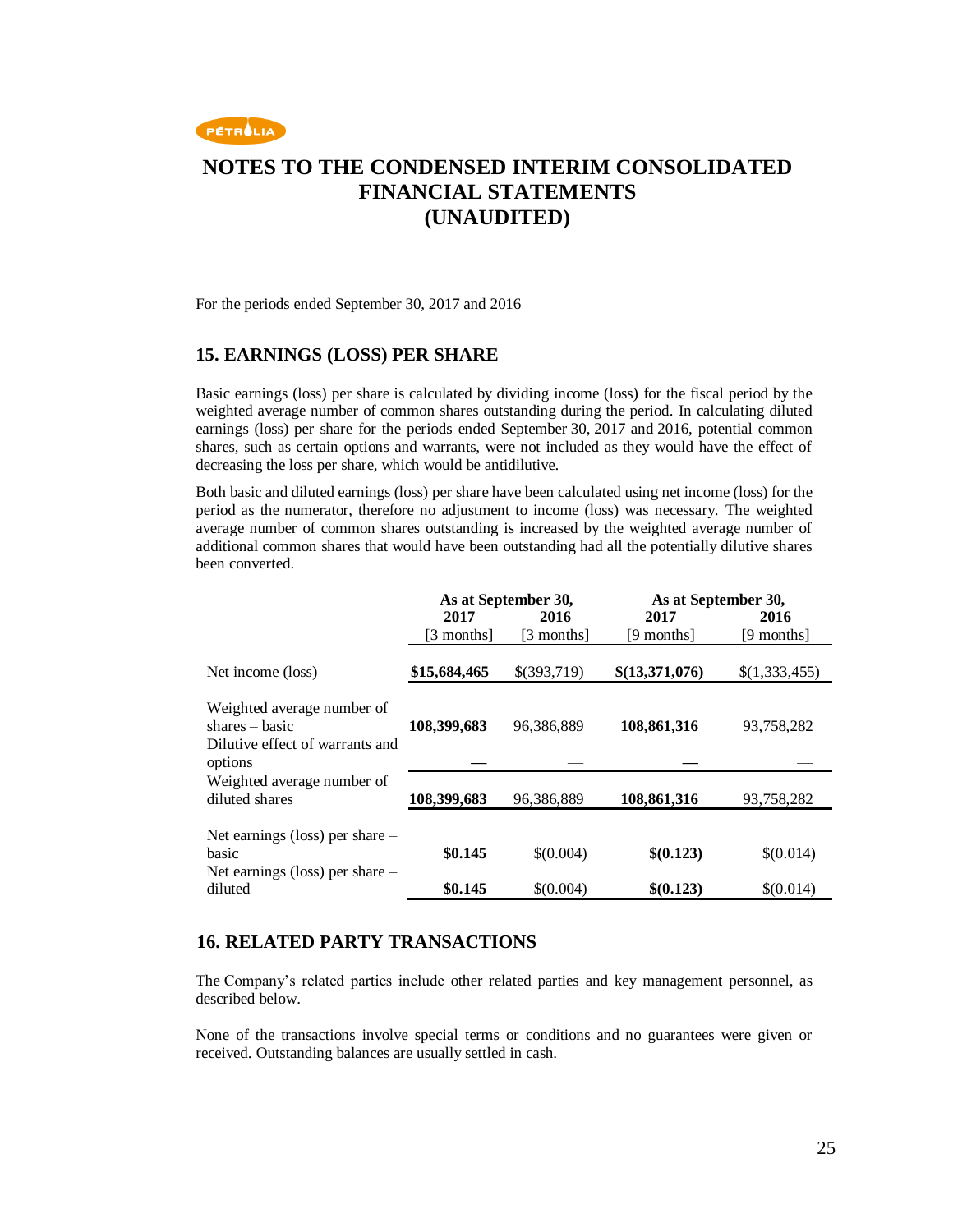

For the periods ended September 30, 2017 and 2016

#### **15. EARNINGS (LOSS) PER SHARE**

Basic earnings (loss) per share is calculated by dividing income (loss) for the fiscal period by the weighted average number of common shares outstanding during the period. In calculating diluted earnings (loss) per share for the periods ended September 30, 2017 and 2016, potential common shares, such as certain options and warrants, were not included as they would have the effect of decreasing the loss per share, which would be antidilutive.

Both basic and diluted earnings (loss) per share have been calculated using net income (loss) for the period as the numerator, therefore no adjustment to income (loss) was necessary. The weighted average number of common shares outstanding is increased by the weighted average number of additional common shares that would have been outstanding had all the potentially dilutive shares been converted.

|                                                                                              | As at September 30, |             | As at September 30, |               |
|----------------------------------------------------------------------------------------------|---------------------|-------------|---------------------|---------------|
|                                                                                              | 2017                | 2016        | 2017                | 2016          |
|                                                                                              | [3 months]          | [3 months]  | [9 months]          | [9 months]    |
| Net income (loss)                                                                            | \$15,684,465        | \$(393,719) | \$(13,371,076)      | \$(1,333,455) |
| Weighted average number of<br>$shares - basic$<br>Dilutive effect of warrants and<br>options | 108,399,683         | 96,386,889  | 108,861,316         | 93,758,282    |
| Weighted average number of<br>diluted shares                                                 | 108,399,683         | 96,386,889  | 108,861,316         | 93,758,282    |
| Net earnings (loss) per share $-$<br>basic                                                   | \$0.145             | \$(0.004)   | \$(0.123)           | \$(0.014)     |
| Net earnings (loss) per share $-$<br>diluted                                                 | \$0.145             | \$(0.004)   | \$(0.123)           | \$(0.014)     |

### **16. RELATED PARTY TRANSACTIONS**

The Company's related parties include other related parties and key management personnel, as described below.

None of the transactions involve special terms or conditions and no guarantees were given or received. Outstanding balances are usually settled in cash.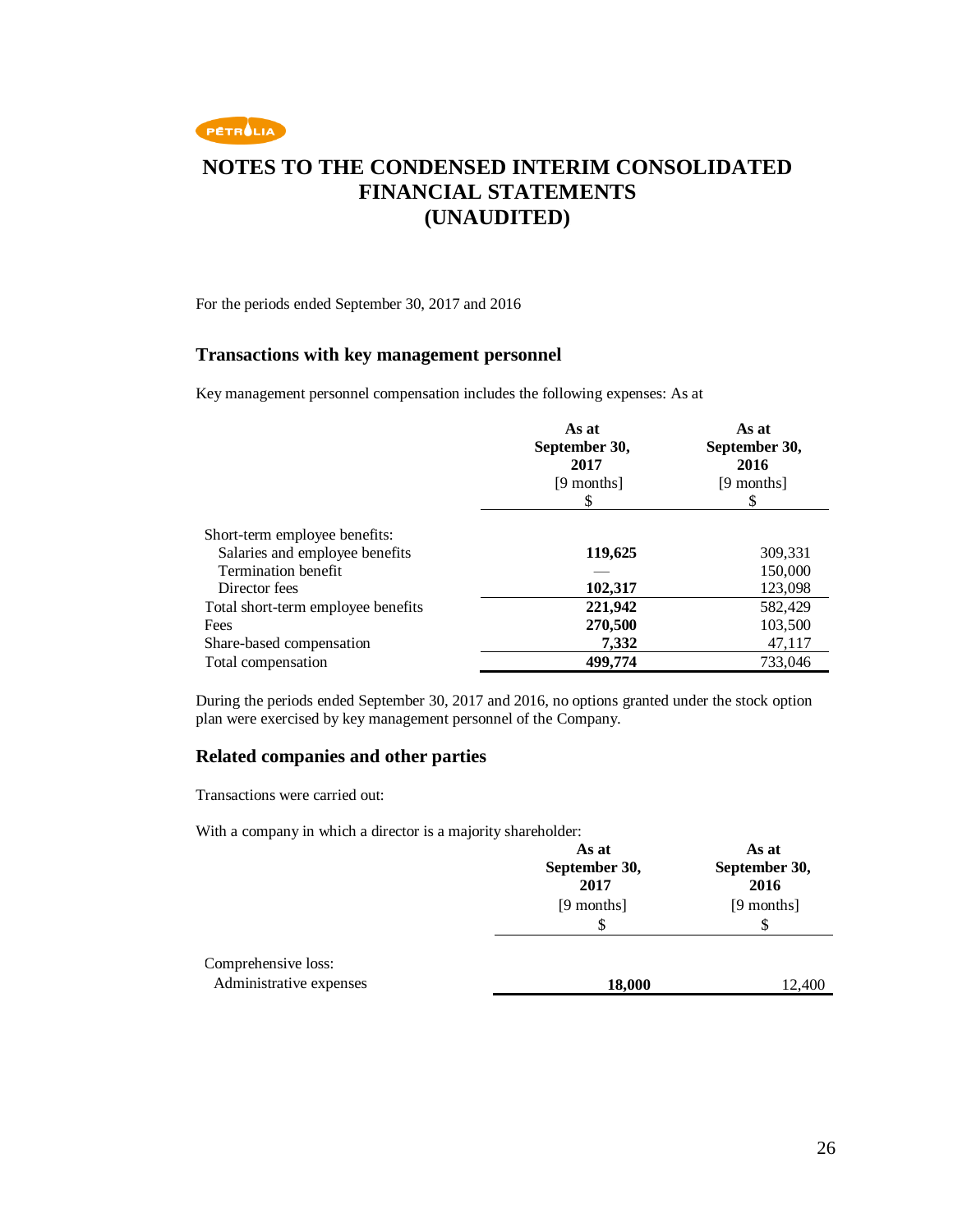

For the periods ended September 30, 2017 and 2016

### **Transactions with key management personnel**

Key management personnel compensation includes the following expenses: As at

|                                    | As at<br>September 30,<br>2017<br>[9 months]<br>S | As at<br>September 30,<br>2016<br>[9 months]<br>S |
|------------------------------------|---------------------------------------------------|---------------------------------------------------|
| Short-term employee benefits:      |                                                   |                                                   |
| Salaries and employee benefits     | 119,625                                           | 309,331                                           |
| Termination benefit                |                                                   | 150,000                                           |
| Director fees                      | 102,317                                           | 123,098                                           |
| Total short-term employee benefits | 221,942                                           | 582,429                                           |
| Fees                               | 270,500                                           | 103,500                                           |
| Share-based compensation           | 7,332                                             | 47,117                                            |
| Total compensation                 | 499,774                                           | 733,046                                           |

During the periods ended September 30, 2017 and 2016, no options granted under the stock option plan were exercised by key management personnel of the Company.

#### **Related companies and other parties**

Transactions were carried out:

With a company in which a director is a majority shareholder:

|                                                | As at<br>September 30,<br>2017 | As at<br>September 30,<br>2016 |
|------------------------------------------------|--------------------------------|--------------------------------|
|                                                | [9 months]<br>\$               | [9 months]<br>\$               |
| Comprehensive loss:<br>Administrative expenses | 18,000                         | 12,400                         |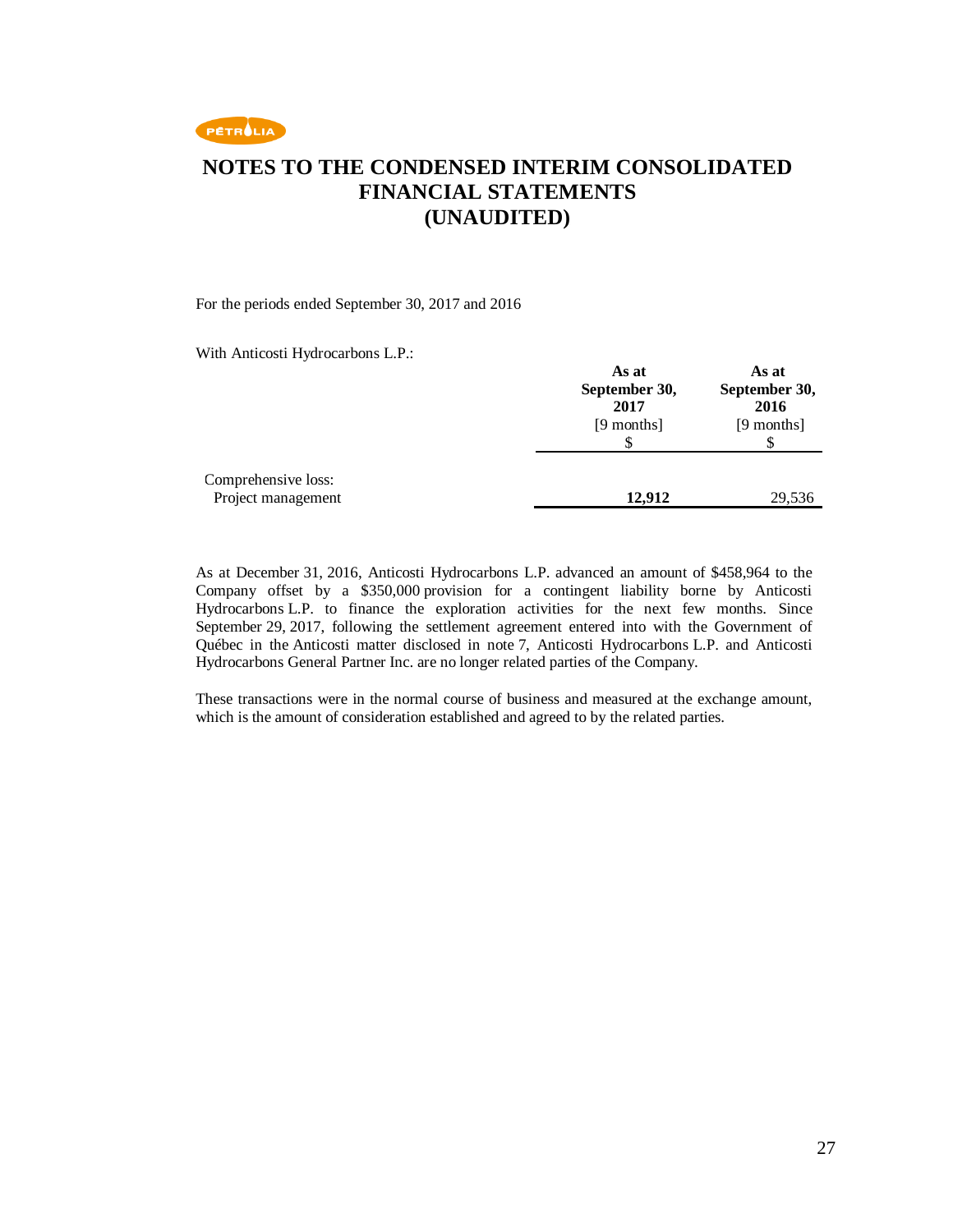

#### For the periods ended September 30, 2017 and 2016

With Anticosti Hydrocarbons L.P.:

|                                           | As at<br>September 30,<br>2017<br>[9 months] | As at<br>September 30,<br>2016<br>[9 months] |
|-------------------------------------------|----------------------------------------------|----------------------------------------------|
| Comprehensive loss:<br>Project management | 12,912                                       | 29,536                                       |

As at December 31, 2016, Anticosti Hydrocarbons L.P. advanced an amount of \$458,964 to the Company offset by a \$350,000 provision for a contingent liability borne by Anticosti Hydrocarbons L.P. to finance the exploration activities for the next few months. Since September 29, 2017, following the settlement agreement entered into with the Government of Québec in the Anticosti matter disclosed in note 7, Anticosti Hydrocarbons L.P. and Anticosti Hydrocarbons General Partner Inc. are no longer related parties of the Company.

These transactions were in the normal course of business and measured at the exchange amount, which is the amount of consideration established and agreed to by the related parties.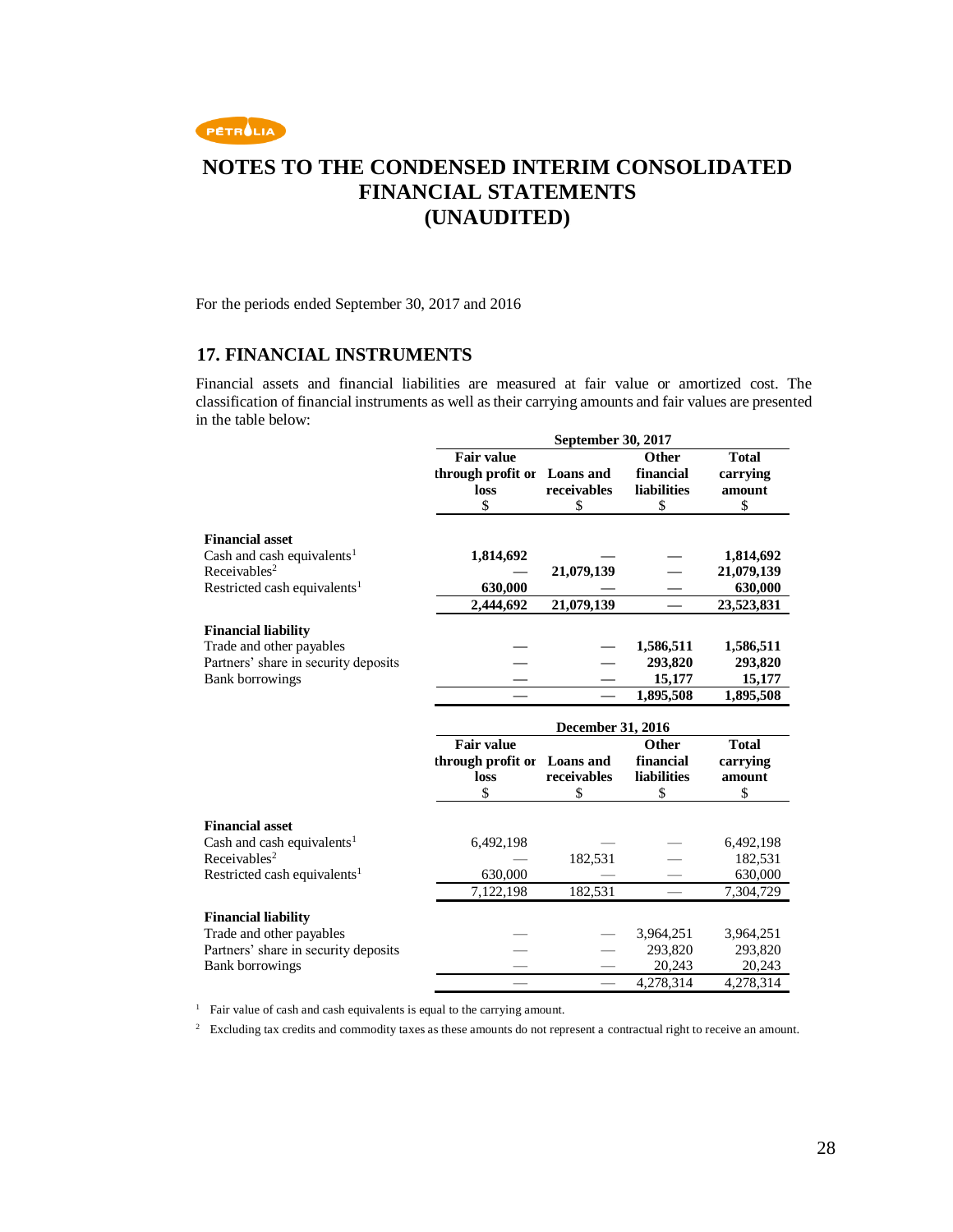

For the periods ended September 30, 2017 and 2016

### **17. FINANCIAL INSTRUMENTS**

Financial assets and financial liabilities are measured at fair value or amortized cost. The classification of financial instruments as well as their carrying amounts and fair values are presented in the table below:

|                                          | September 30, 2017 |             |                     |              |
|------------------------------------------|--------------------|-------------|---------------------|--------------|
|                                          | <b>Fair value</b>  |             | <b>Other</b>        | <b>Total</b> |
|                                          | through profit or  | Loans and   | financial           | carrying     |
|                                          | loss               | receivables | <b>liabilities</b>  | amount       |
|                                          | \$                 | \$          | \$                  | \$           |
|                                          |                    |             |                     |              |
| <b>Financial asset</b>                   |                    |             |                     |              |
| Cash and cash equivalents <sup>1</sup>   | 1,814,692          |             |                     | 1,814,692    |
| Receivables <sup>2</sup>                 |                    | 21,079,139  |                     | 21,079,139   |
| Restricted cash equivalents <sup>1</sup> | 630,000            |             |                     | 630,000      |
|                                          | 2,444,692          | 21,079,139  |                     | 23,523,831   |
| <b>Financial liability</b>               |                    |             |                     |              |
| Trade and other payables                 |                    |             | 1,586,511           | 1,586,511    |
| Partners' share in security deposits     |                    |             | 293,820             | 293,820      |
| <b>Bank borrowings</b>                   |                    |             | 15,177              | 15,177       |
|                                          |                    |             | 1,895,508           | 1,895,508    |
|                                          | December 31, 2016  |             |                     |              |
|                                          |                    |             |                     |              |
|                                          | <b>Fair value</b>  |             | <b>Other</b>        | <b>Total</b> |
|                                          | through profit or  | Loans and   | financial           | carrying     |
|                                          | loss               | receivables | <b>liabilities</b>  | amount       |
|                                          | \$                 | \$          | \$                  | \$           |
|                                          |                    |             |                     |              |
| <b>Financial asset</b>                   |                    |             |                     |              |
| Cash and cash equivalents <sup>1</sup>   | 6,492,198          |             |                     | 6,492,198    |
| Receivables <sup>2</sup>                 |                    | 182,531     |                     | 182,531      |
| Restricted cash equivalents <sup>1</sup> | 630,000            |             |                     | 630,000      |
|                                          | 7,122,198          | 182,531     |                     | 7,304,729    |
| <b>Financial liability</b>               |                    |             |                     |              |
| Trade and other payables                 |                    |             | 3,964,251           | 3,964,251    |
| Partners' share in security deposits     |                    |             | 293,820             | 293,820      |
| <b>Bank borrowings</b>                   |                    |             | 20,243<br>4,278,314 | 20,243       |

<sup>1</sup> Fair value of cash and cash equivalents is equal to the carrying amount.

<sup>2</sup> Excluding tax credits and commodity taxes as these amounts do not represent a contractual right to receive an amount.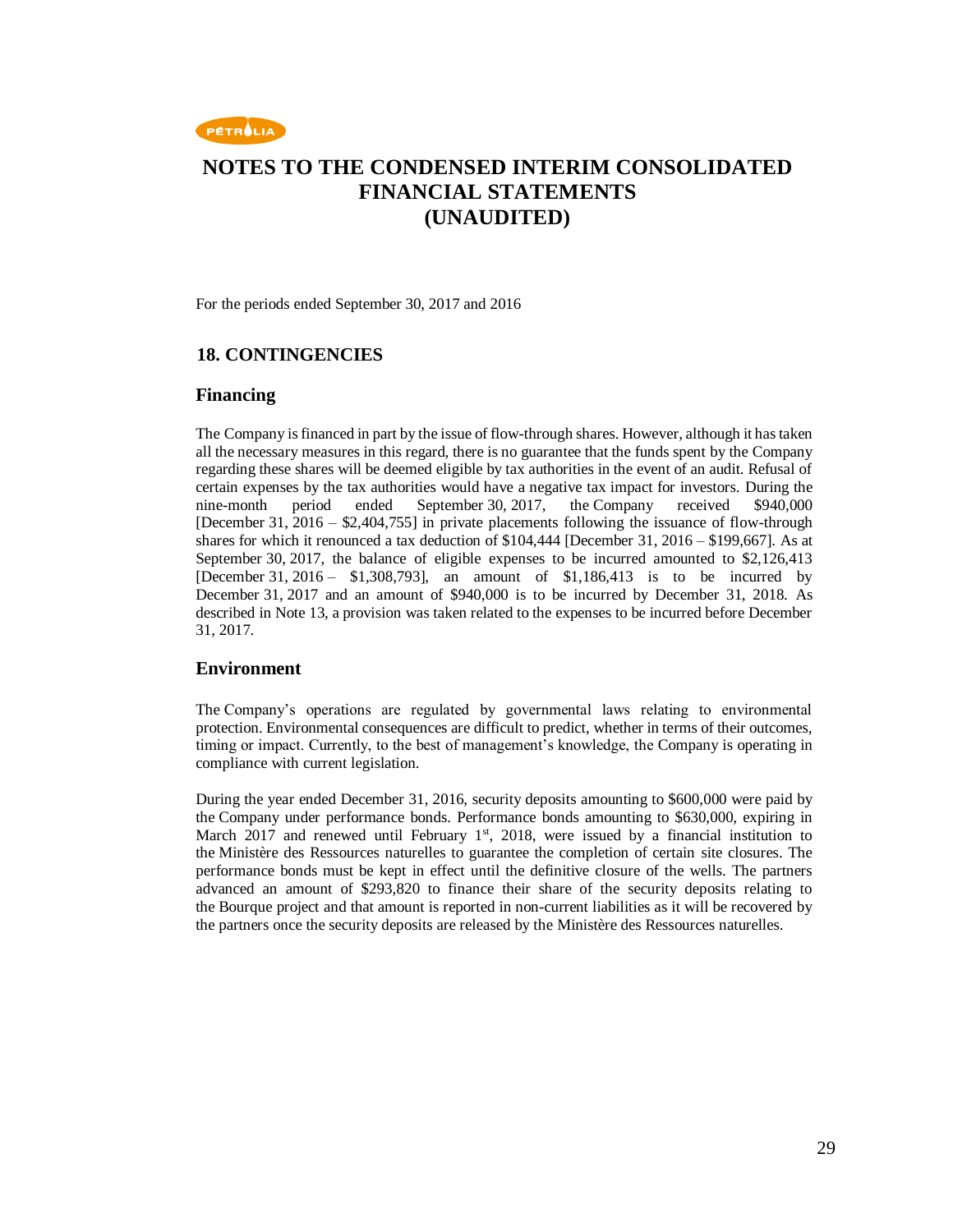

For the periods ended September 30, 2017 and 2016

### **18. CONTINGENCIES**

#### **Financing**

The Company is financed in part by the issue of flow-through shares. However, although it has taken all the necessary measures in this regard, there is no guarantee that the funds spent by the Company regarding these shares will be deemed eligible by tax authorities in the event of an audit. Refusal of certain expenses by the tax authorities would have a negative tax impact for investors. During the nine-month period ended September 30, 2017, the Company received \$940,000 [December 31, 2016 – \$2,404,755] in private placements following the issuance of flow-through shares for which it renounced a tax deduction of \$104,444 [December 31, 2016 – \$199,667]. As at September 30, 2017, the balance of eligible expenses to be incurred amounted to \$2,126,413 [December 31, 2016 – \$1,308,793], an amount of \$1,186,413 is to be incurred by December 31, 2017 and an amount of \$940,000 is to be incurred by December 31, 2018. As described in Note 13, a provision was taken related to the expenses to be incurred before December 31, 2017.

### **Environment**

The Company's operations are regulated by governmental laws relating to environmental protection. Environmental consequences are difficult to predict, whether in terms of their outcomes, timing or impact. Currently, to the best of management's knowledge, the Company is operating in compliance with current legislation.

During the year ended December 31, 2016, security deposits amounting to \$600,000 were paid by the Company under performance bonds. Performance bonds amounting to \$630,000, expiring in March 2017 and renewed until February  $1<sup>st</sup>$ , 2018, were issued by a financial institution to the Ministère des Ressources naturelles to guarantee the completion of certain site closures. The performance bonds must be kept in effect until the definitive closure of the wells. The partners advanced an amount of \$293,820 to finance their share of the security deposits relating to the Bourque project and that amount is reported in non-current liabilities as it will be recovered by the partners once the security deposits are released by the Ministère des Ressources naturelles.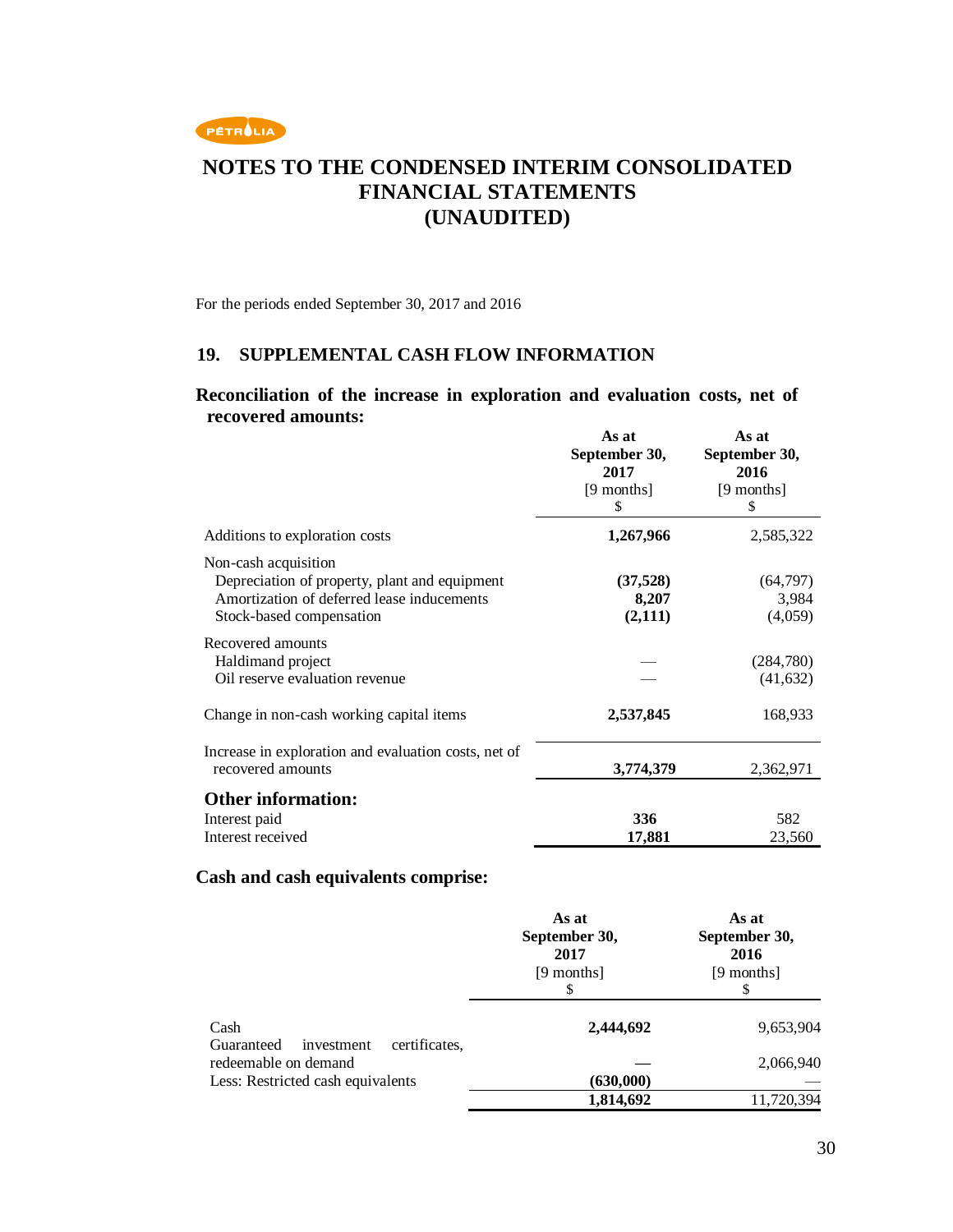

For the periods ended September 30, 2017 and 2016

### **19. SUPPLEMENTAL CASH FLOW INFORMATION**

### **Reconciliation of the increase in exploration and evaluation costs, net of recovered amounts:**

|                                                                                                                                                 | As at<br>September 30,<br>2017<br>[9 months]<br>\$ | As at<br>September 30,<br>2016<br>[9 months]<br>\$ |
|-------------------------------------------------------------------------------------------------------------------------------------------------|----------------------------------------------------|----------------------------------------------------|
| Additions to exploration costs                                                                                                                  | 1,267,966                                          | 2,585,322                                          |
| Non-cash acquisition<br>Depreciation of property, plant and equipment<br>Amortization of deferred lease inducements<br>Stock-based compensation | (37, 528)<br>8,207<br>(2,111)                      | (64, 797)<br>3,984<br>(4,059)                      |
| Recovered amounts<br>Haldimand project<br>Oil reserve evaluation revenue                                                                        |                                                    | (284,780)<br>(41, 632)                             |
| Change in non-cash working capital items                                                                                                        | 2,537,845                                          | 168,933                                            |
| Increase in exploration and evaluation costs, net of<br>recovered amounts                                                                       | 3,774,379                                          | 2,362,971                                          |
| <b>Other information:</b><br>Interest paid<br>Interest received                                                                                 | 336<br>17,881                                      | 582<br>23,560                                      |

### **Cash and cash equivalents comprise:**

|                                                           | As at<br>September 30,<br>2017<br>[9 months]<br>\$ | As at<br>September 30,<br>2016<br>[9 months]<br>\$ |
|-----------------------------------------------------------|----------------------------------------------------|----------------------------------------------------|
| Cash<br>Guaranteed<br>certificates.<br>investment         | 2,444,692                                          | 9,653,904                                          |
| redeemable on demand<br>Less: Restricted cash equivalents | (630,000)                                          | 2,066,940                                          |
|                                                           | 1,814,692                                          | 11,720,394                                         |